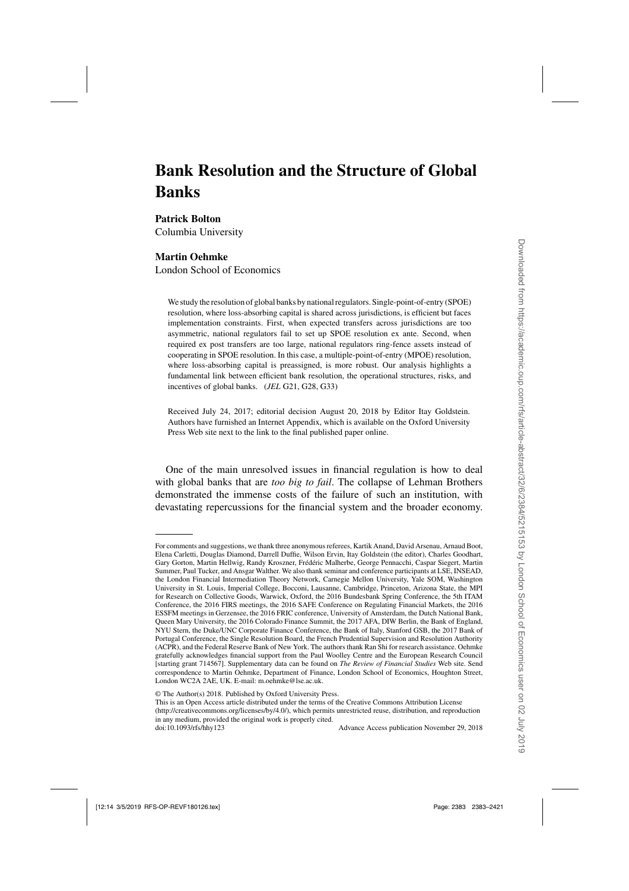# **Bank Resolution and the Structure of Global Banks**

# **Patrick Bolton**

Columbia University

# **Martin Oehmke**

London School of Economics

We study the resolution of global banks by national regulators. Single-point-of-entry (SPOE) resolution, where loss-absorbing capital is shared across jurisdictions, is efficient but faces implementation constraints. First, when expected transfers across jurisdictions are too asymmetric, national regulators fail to set up SPOE resolution ex ante. Second, when required ex post transfers are too large, national regulators ring-fence assets instead of cooperating in SPOE resolution. In this case, a multiple-point-of-entry (MPOE) resolution, where loss-absorbing capital is preassigned, is more robust. Our analysis highlights a fundamental link between efficient bank resolution, the operational structures, risks, and incentives of global banks. (*JEL* G21, G28, G33)

Received July 24, 2017; editorial decision August 20, 2018 by Editor Itay Goldstein. Authors have furnished an Internet Appendix, which is available on the Oxford University Press Web site next to the link to the final published paper online.

One of the main unresolved issues in financial regulation is how to deal with global banks that are *too big to fail*. The collapse of Lehman Brothers demonstrated the immense costs of the failure of such an institution, with devastating repercussions for the financial system and the broader economy.

For comments and suggestions, we thank three anonymous referees, Kartik Anand, David Arsenau, Arnaud Boot, Elena Carletti, Douglas Diamond, Darrell Duffie, Wilson Ervin, Itay Goldstein (the editor), Charles Goodhart, Gary Gorton, Martin Hellwig, Randy Kroszner, Frédéric Malherbe, George Pennacchi, Caspar Siegert, Martin Summer, Paul Tucker, and Ansgar Walther. We also thank seminar and conference participants at LSE, INSEAD, the London Financial Intermediation Theory Network, Carnegie Mellon University, Yale SOM, Washington University in St. Louis, Imperial College, Bocconi, Lausanne, Cambridge, Princeton, Arizona State, the MPI for Research on Collective Goods, Warwick, Oxford, the 2016 Bundesbank Spring Conference, the 5th ITAM Conference, the 2016 FIRS meetings, the 2016 SAFE Conference on Regulating Financial Markets, the 2016 ESSFM meetings in Gerzensee, the 2016 FRIC conference, University of Amsterdam, the Dutch National Bank, Queen Mary University, the 2016 Colorado Finance Summit, the 2017 AFA, DIW Berlin, the Bank of England, NYU Stern, the Duke/UNC Corporate Finance Conference, the Bank of Italy, Stanford GSB, the 2017 Bank of Portugal Conference, the Single Resolution Board, the French Prudential Supervision and Resolution Authority (ACPR), and the Federal Reserve Bank of New York. The authors thank Ran Shi for research assistance. Oehmke gratefully acknowledges financial support from the Paul Woolley Centre and the European Research Council [starting grant 714567]. [Supplementary data](https://academic.oup.com/rfs/article-lookup/doi/10.1093/rfs/hhy123#supplementary-data) can be found on *The Review of Financial Studies* Web site. Send correspondence to Martin Oehmke, Department of Finance, London School of Economics, Houghton Street, London WC2A 2AE, UK. E-mail: m.oehmke@lse.ac.uk.

<sup>©</sup> The Author(s) 2018. Published by Oxford University Press.

This is an Open Access article distributed under the terms of the Creative Commons Attribution License (http://creativecommons.org/licenses/by/4.0/), which permits unrestricted reuse, distribution, and reproduction in any medium, provided the original work is properly cited. doi:10.1093/rfs/hhy123 Advance Access publication November 29, 2018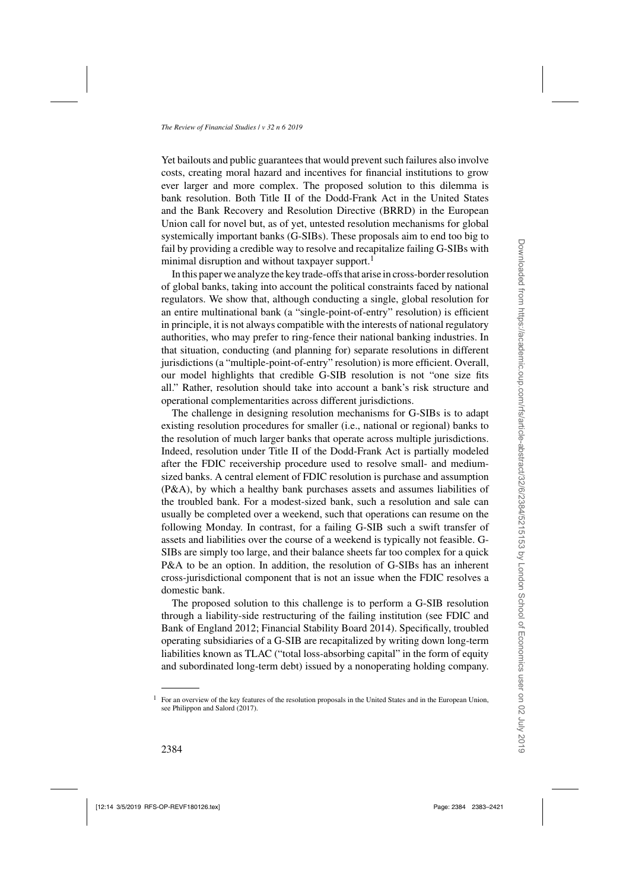Yet bailouts and public guarantees that would prevent such failures also involve costs, creating moral hazard and incentives for financial institutions to grow ever larger and more complex. The proposed solution to this dilemma is bank resolution. Both Title II of the Dodd-Frank Act in the United States and the Bank Recovery and Resolution Directive (BRRD) in the European Union call for novel but, as of yet, untested resolution mechanisms for global systemically important banks (G-SIBs). These proposals aim to end too big to fail by providing a credible way to resolve and recapitalize failing G-SIBs with minimal disruption and without taxpayer support.<sup>1</sup>

In this paper we analyze the key trade-offs that arise in cross-border resolution of global banks, taking into account the political constraints faced by national regulators. We show that, although conducting a single, global resolution for an entire multinational bank (a "single-point-of-entry" resolution) is efficient in principle, it is not always compatible with the interests of national regulatory authorities, who may prefer to ring-fence their national banking industries. In that situation, conducting (and planning for) separate resolutions in different jurisdictions (a "multiple-point-of-entry" resolution) is more efficient. Overall, our model highlights that credible G-SIB resolution is not "one size fits all." Rather, resolution should take into account a bank's risk structure and operational complementarities across different jurisdictions.

The challenge in designing resolution mechanisms for G-SIBs is to adapt existing resolution procedures for smaller (i.e., national or regional) banks to the resolution of much larger banks that operate across multiple jurisdictions. Indeed, resolution under Title II of the Dodd-Frank Act is partially modeled after the FDIC receivership procedure used to resolve small- and mediumsized banks. A central element of FDIC resolution is purchase and assumption (P&A), by which a healthy bank purchases assets and assumes liabilities of the troubled bank. For a modest-sized bank, such a resolution and sale can usually be completed over a weekend, such that operations can resume on the following Monday. In contrast, for a failing G-SIB such a swift transfer of assets and liabilities over the course of a weekend is typically not feasible. G-SIBs are simply too large, and their balance sheets far too complex for a quick P&A to be an option. In addition, the resolution of G-SIBs has an inherent cross-jurisdictional component that is not an issue when the FDIC resolves a domestic bank.

The proposed solution to this challenge is to perform a G-SIB resolution through a liabili[ty-side restructuring of the failing institution \(see](#page-37-0) FDIC and Bank of England [2012](#page-37-0); [Financial Stability Board 2014\)](#page-37-0). Specifically, troubled operating subsidiaries of a G-SIB are recapitalized by writing down long-term liabilities known as TLAC ("total loss-absorbing capital" in the form of equity and subordinated long-term debt) issued by a nonoperating holding company.

<sup>1</sup> For an overview of the key features of the resolution proposals in the United States and in the European Union, see [Philippon and Salord](#page-38-0) [\(2017\)](#page-38-0).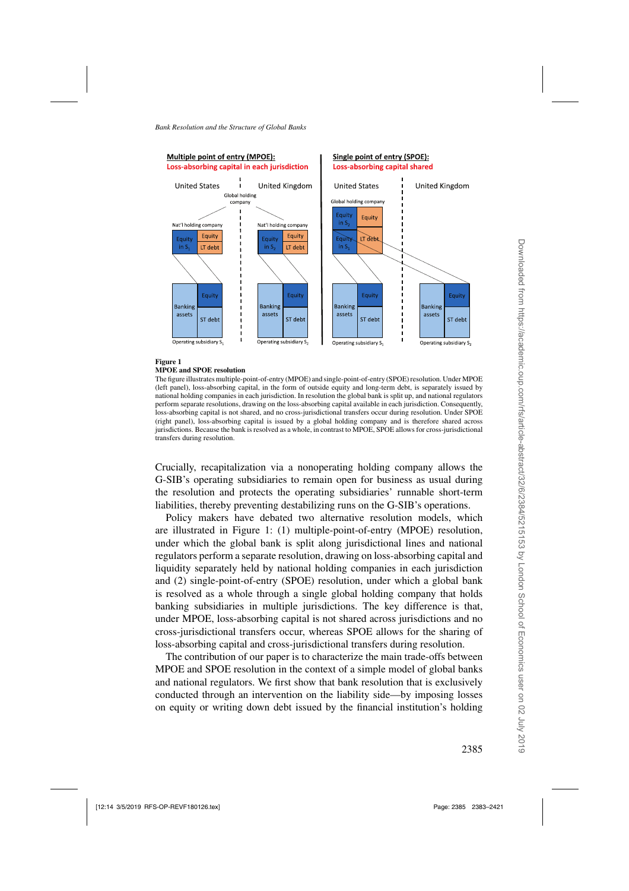<span id="page-2-0"></span>

#### **Figure 1 MPOE and SPOE resolution**

The figure illustrates multiple-point-of-entry (MPOE) and single-point-of-entry (SPOE) resolution. Under MPOE (left panel), loss-absorbing capital, in the form of outside equity and long-term debt, is separately issued by national holding companies in each jurisdiction. In resolution the global bank is split up, and national regulators perform separate resolutions, drawing on the loss-absorbing capital available in each jurisdiction. Consequently, loss-absorbing capital is not shared, and no cross-jurisdictional transfers occur during resolution. Under SPOE (right panel), loss-absorbing capital is issued by a global holding company and is therefore shared across jurisdictions. Because the bank is resolved as a whole, in contrast to MPOE, SPOE allows for cross-jurisdictional transfers during resolution.

Crucially, recapitalization via a nonoperating holding company allows the G-SIB's operating subsidiaries to remain open for business as usual during the resolution and protects the operating subsidiaries' runnable short-term liabilities, thereby preventing destabilizing runs on the G-SIB's operations.

Policy makers have debated two alternative resolution models, which are illustrated in Figure 1: (1) multiple-point-of-entry (MPOE) resolution, under which the global bank is split along jurisdictional lines and national regulators perform a separate resolution, drawing on loss-absorbing capital and liquidity separately held by national holding companies in each jurisdiction and (2) single-point-of-entry (SPOE) resolution, under which a global bank is resolved as a whole through a single global holding company that holds banking subsidiaries in multiple jurisdictions. The key difference is that, under MPOE, loss-absorbing capital is not shared across jurisdictions and no cross-jurisdictional transfers occur, whereas SPOE allows for the sharing of loss-absorbing capital and cross-jurisdictional transfers during resolution.

The contribution of our paper is to characterize the main trade-offs between MPOE and SPOE resolution in the context of a simple model of global banks and national regulators. We first show that bank resolution that is exclusively conducted through an intervention on the liability side—by imposing losses on equity or writing down debt issued by the financial institution's holding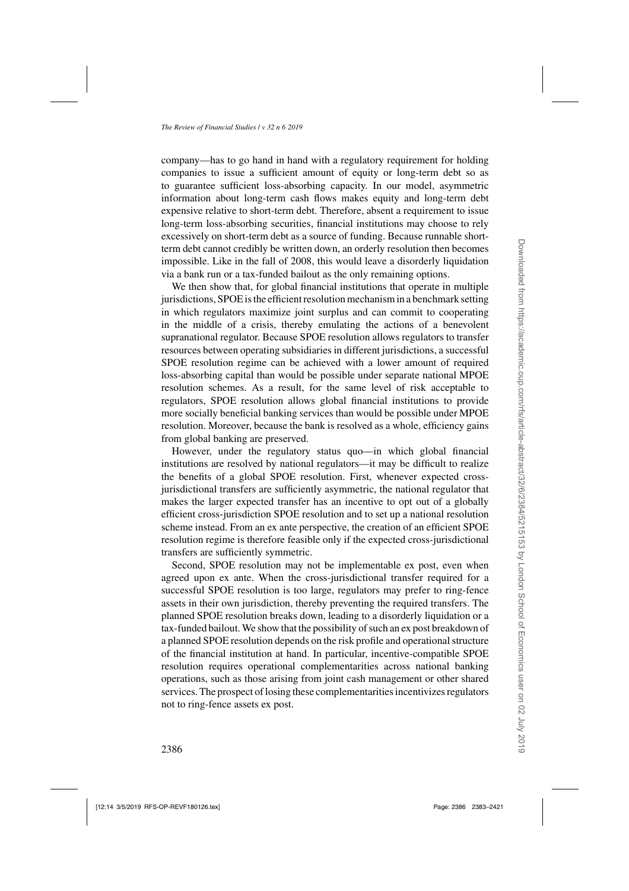company—has to go hand in hand with a regulatory requirement for holding companies to issue a sufficient amount of equity or long-term debt so as to guarantee sufficient loss-absorbing capacity. In our model, asymmetric information about long-term cash flows makes equity and long-term debt expensive relative to short-term debt. Therefore, absent a requirement to issue long-term loss-absorbing securities, financial institutions may choose to rely excessively on short-term debt as a source of funding. Because runnable shortterm debt cannot credibly be written down, an orderly resolution then becomes impossible. Like in the fall of 2008, this would leave a disorderly liquidation via a bank run or a tax-funded bailout as the only remaining options.

We then show that, for global financial institutions that operate in multiple jurisdictions, SPOE is the efficient resolution mechanism in a benchmark setting in which regulators maximize joint surplus and can commit to cooperating in the middle of a crisis, thereby emulating the actions of a benevolent supranational regulator. Because SPOE resolution allows regulators to transfer resources between operating subsidiaries in different jurisdictions, a successful SPOE resolution regime can be achieved with a lower amount of required loss-absorbing capital than would be possible under separate national MPOE resolution schemes. As a result, for the same level of risk acceptable to regulators, SPOE resolution allows global financial institutions to provide more socially beneficial banking services than would be possible under MPOE resolution. Moreover, because the bank is resolved as a whole, efficiency gains from global banking are preserved.

However, under the regulatory status quo—in which global financial institutions are resolved by national regulators—it may be difficult to realize the benefits of a global SPOE resolution. First, whenever expected crossjurisdictional transfers are sufficiently asymmetric, the national regulator that makes the larger expected transfer has an incentive to opt out of a globally efficient cross-jurisdiction SPOE resolution and to set up a national resolution scheme instead. From an ex ante perspective, the creation of an efficient SPOE resolution regime is therefore feasible only if the expected cross-jurisdictional transfers are sufficiently symmetric.

Second, SPOE resolution may not be implementable ex post, even when agreed upon ex ante. When the cross-jurisdictional transfer required for a successful SPOE resolution is too large, regulators may prefer to ring-fence assets in their own jurisdiction, thereby preventing the required transfers. The planned SPOE resolution breaks down, leading to a disorderly liquidation or a tax-funded bailout.We show that the possibility of such an ex post breakdown of a planned SPOE resolution depends on the risk profile and operational structure of the financial institution at hand. In particular, incentive-compatible SPOE resolution requires operational complementarities across national banking operations, such as those arising from joint cash management or other shared services. The prospect of losing these complementarities incentivizes regulators not to ring-fence assets ex post.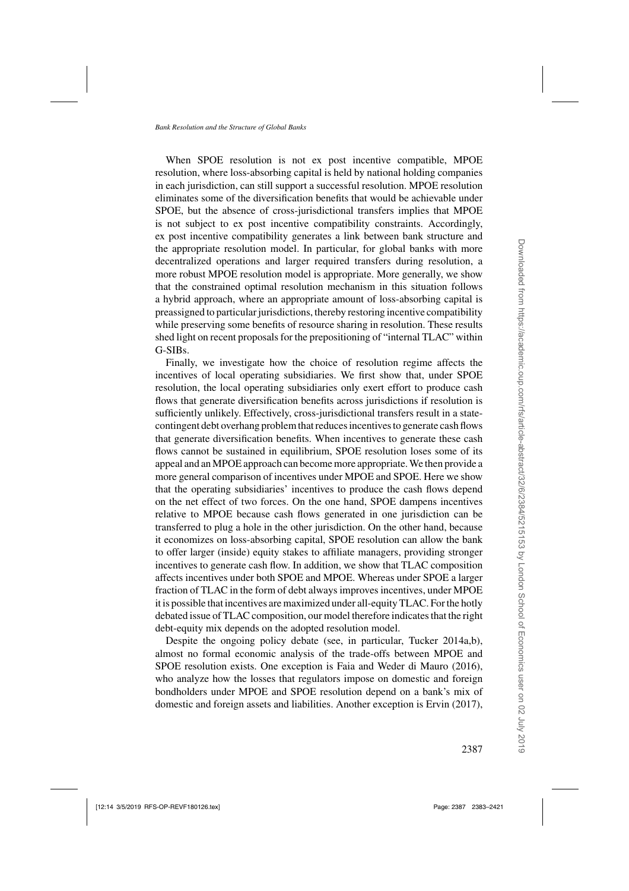When SPOE resolution is not ex post incentive compatible, MPOE resolution, where loss-absorbing capital is held by national holding companies in each jurisdiction, can still support a successful resolution. MPOE resolution eliminates some of the diversification benefits that would be achievable under SPOE, but the absence of cross-jurisdictional transfers implies that MPOE is not subject to ex post incentive compatibility constraints. Accordingly, ex post incentive compatibility generates a link between bank structure and the appropriate resolution model. In particular, for global banks with more decentralized operations and larger required transfers during resolution, a more robust MPOE resolution model is appropriate. More generally, we show that the constrained optimal resolution mechanism in this situation follows a hybrid approach, where an appropriate amount of loss-absorbing capital is preassigned to particular jurisdictions, thereby restoring incentive compatibility while preserving some benefits of resource sharing in resolution. These results shed light on recent proposals for the prepositioning of "internal TLAC" within G-SIBs.

Finally, we investigate how the choice of resolution regime affects the incentives of local operating subsidiaries. We first show that, under SPOE resolution, the local operating subsidiaries only exert effort to produce cash flows that generate diversification benefits across jurisdictions if resolution is sufficiently unlikely. Effectively, cross-jurisdictional transfers result in a statecontingent debt overhang problem that reduces incentives to generate cash flows that generate diversification benefits. When incentives to generate these cash flows cannot be sustained in equilibrium, SPOE resolution loses some of its appeal and an MPOE approach can become more appropriate.We then provide a more general comparison of incentives under MPOE and SPOE. Here we show that the operating subsidiaries' incentives to produce the cash flows depend on the net effect of two forces. On the one hand, SPOE dampens incentives relative to MPOE because cash flows generated in one jurisdiction can be transferred to plug a hole in the other jurisdiction. On the other hand, because it economizes on loss-absorbing capital, SPOE resolution can allow the bank to offer larger (inside) equity stakes to affiliate managers, providing stronger incentives to generate cash flow. In addition, we show that TLAC composition affects incentives under both SPOE and MPOE. Whereas under SPOE a larger fraction of TLAC in the form of debt always improves incentives, under MPOE it is possible that incentives are maximized under all-equity TLAC. For the hotly debated issue of TLAC composition, our model therefore indicates that the right debt-equity mix depends on the adopted resolution model.

Despite the ongoing policy debate (see, in particular, [Tucker 2014a,b\)](#page-38-0), almost no formal economic analysis of the trade-offs between MPOE and SPOE resolution exists. One exception is [Faia and Weder di Mauro](#page-37-0) [\(2016\)](#page-37-0), who analyze how the losses that regulators impose on domestic and foreign bondholders under MPOE and SPOE resolution depend on a bank's mix of domestic and foreign assets and liabilities. Another exception is [Ervin](#page-37-0) [\(2017\)](#page-37-0),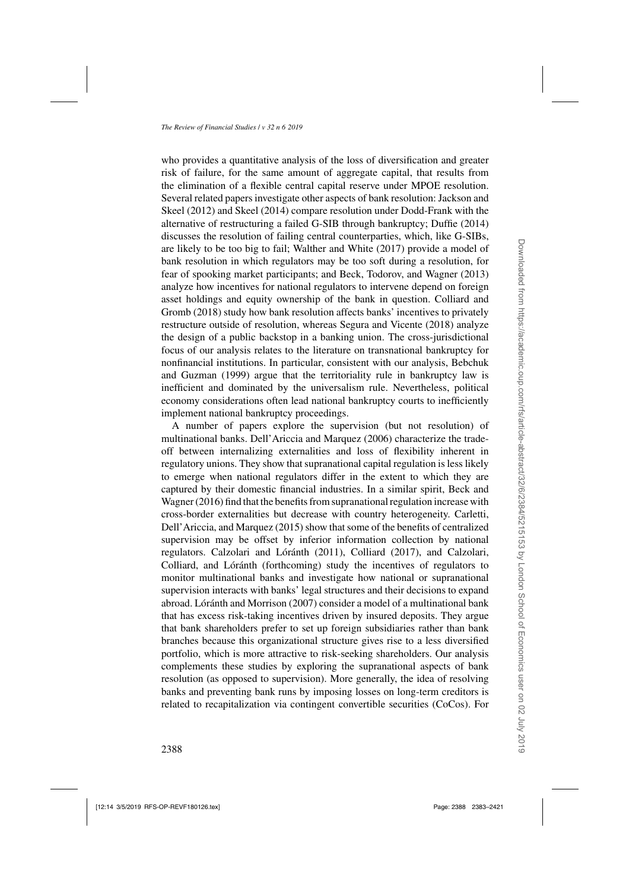who provides a quantitative analysis of the loss of diversification and greater risk of failure, for the same amount of aggregate capital, that results from the elimination of a flexible central capital reserve under MPOE resolution. Several related papers investigate other aspects of bank resolution: Jackson and Skeel [\(2012\)](#page-37-0) and [Skeel](#page-38-0) [\(2014\)](#page-38-0) compare resolution under Dodd-Frank with the alternative of restructuring a failed G-SIB through bankruptcy; [Duffie](#page-37-0) [\(2014\)](#page-37-0) discusses the resolution of failing central counterparties, which, like G-SIBs, are likely to be too big to fail; [Walther and White](#page-38-0) [\(2017](#page-38-0)) provide a model of bank resolution in which regulators may be too soft during a resolution, for fear of spooking market participants; and [Beck, Todorov, and Wagner](#page-36-0) [\(2013\)](#page-36-0) analyze how incentives for national regulators to intervene depend on foreign asset h[oldings and equity ownership of the bank in question.](#page-37-0) Colliard and Gromb [\(2018](#page-37-0)) study how bank resolution affects banks' incentives to privately restructure outside of resolution, whereas [Segura and Vicente](#page-38-0) [\(2018\)](#page-38-0) analyze the design of a public backstop in a banking union. The cross-jurisdictional focus of our analysis relates to the literature on transnational bankruptcy for nonfinancial [institutions. In particular, consistent with our analysis,](#page-36-0) Bebchuk and Guzman [\(1999\)](#page-36-0) argue that the territoriality rule in bankruptcy law is inefficient and dominated by the universalism rule. Nevertheless, political economy considerations often lead national bankruptcy courts to inefficiently implement national bankruptcy proceedings.

A number of papers explore the supervision (but not resolution) of multinational banks. [Dell'Ariccia and Marquez](#page-37-0) [\(2006](#page-37-0)) characterize the tradeoff between internalizing externalities and loss of flexibility inherent in regulatory unions. They show that supranational capital regulation is less likely to emerge when national regulators differ in the extent to which they are capture[d by their domestic financial industries. In a similar spirit,](#page-36-0) Beck and Wagner [\(2016\)](#page-36-0) find that the benefits from supranational regulation increase with cross-border externalities [but decrease with country heterogeneity.](#page-37-0) Carletti, Dell'Ariccia, and Marquez [\(2015](#page-37-0)) show that some of the benefits of centralized supervision may be offset by inferior information collection by national regulators. [Calzolari and Lóránth](#page-37-0)[\(2011](#page-37-0)[\),](#page-36-0) [Colliard](#page-37-0)[\(2017](#page-37-0)[\), and](#page-36-0) Calzolari, Colliard, and Lóránth [\(forthcoming](#page-36-0)) study the incentives of regulators to monitor multinational banks and investigate how national or supranational supervision interacts with banks' legal structures and their decisions to expand abroad. [Lóránth and Morrison](#page-38-0) [\(2007](#page-38-0)) consider a model of a multinational bank that has excess risk-taking incentives driven by insured deposits. They argue that bank shareholders prefer to set up foreign subsidiaries rather than bank branches because this organizational structure gives rise to a less diversified portfolio, which is more attractive to risk-seeking shareholders. Our analysis complements these studies by exploring the supranational aspects of bank resolution (as opposed to supervision). More generally, the idea of resolving banks and preventing bank runs by imposing losses on long-term creditors is related to recapitalization via contingent convertible securities (CoCos). For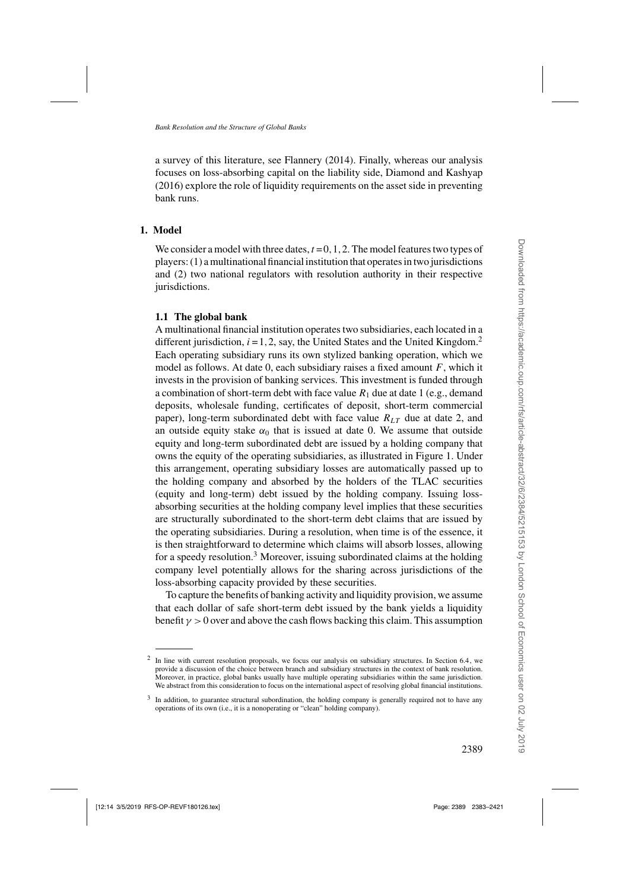a survey of this literature, see [Flannery](#page-37-0) [\(2014\)](#page-37-0). Finally, whereas our analysis focuses on loss-absorbing capital on the liability side, [Diamond and Kashyap](#page-37-0) [\(2016\)](#page-37-0) explore the role of liquidity requirements on the asset side in preventing bank runs.

# **1. Model**

We consider a model with three dates,  $t = 0, 1, 2$ . The model features two types of players: (1) a multinational financial institution that operates in two jurisdictions and (2) two national regulators with resolution authority in their respective jurisdictions.

### **1.1 The global bank**

A multinational financial institution operates two subsidiaries, each located in a different jurisdiction,  $i = 1, 2$ , say, the United States and the United Kingdom.<sup>2</sup> Each operating subsidiary runs its own stylized banking operation, which we model as follows. At date 0, each subsidiary raises a fixed amount  $F$ , which it invests in the provision of banking services. This investment is funded through a combination of short-term debt with face value  $R_1$  due at date 1 (e.g., demand deposits, wholesale funding, certificates of deposit, short-term commercial paper), long-term subordinated debt with face value  $R_{LT}$  due at date 2, and an outside equity stake  $\alpha_0$  that is issued at date 0. We assume that outside equity and long-term subordinated debt are issued by a holding company that owns the equity of the operating subsidiaries, as illustrated in Figure [1.](#page-2-0) Under this arrangement, operating subsidiary losses are automatically passed up to the holding company and absorbed by the holders of the TLAC securities (equity and long-term) debt issued by the holding company. Issuing lossabsorbing securities at the holding company level implies that these securities are structurally subordinated to the short-term debt claims that are issued by the operating subsidiaries. During a resolution, when time is of the essence, it is then straightforward to determine which claims will absorb losses, allowing for a speedy resolution.<sup>3</sup> Moreover, issuing subordinated claims at the holding company level potentially allows for the sharing across jurisdictions of the loss-absorbing capacity provided by these securities.

To capture the benefits of banking activity and liquidity provision, we assume that each dollar of safe short-term debt issued by the bank yields a liquidity benefit  $\gamma > 0$  over and above the cash flows backing this claim. This assumption

<sup>2</sup> In line with current resolution proposals, we focus our analysis on subsidiary structures. In Section [6.4,](#page-31-0) we provide a discussion of the choice between branch and subsidiary structures in the context of bank resolution. Moreover, in practice, global banks usually have multiple operating subsidiaries within the same jurisdiction. We abstract from this consideration to focus on the international aspect of resolving global financial institutions.

<sup>&</sup>lt;sup>3</sup> In addition, to guarantee structural subordination, the holding company is generally required not to have any operations of its own (i.e., it is a nonoperating or "clean" holding company).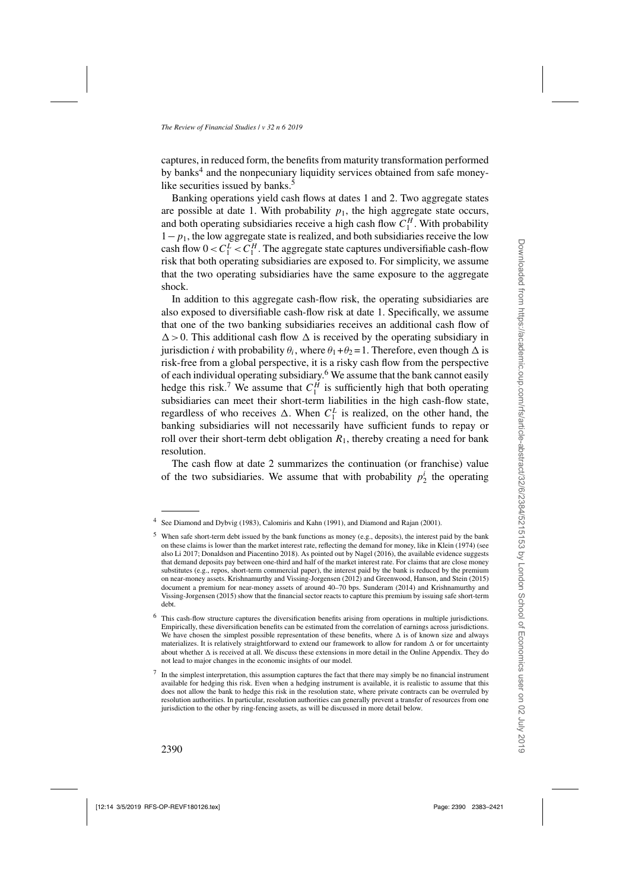captures, in reduced form, the benefits from maturity transformation performed by banks<sup>4</sup> and the nonpecuniary liquidity services obtained from safe moneylike securities issued by banks.<sup>5</sup>

Banking operations yield cash flows at dates 1 and 2. Two aggregate states are possible at date 1. With probability  $p_1$ , the high aggregate state occurs, and both operating subsidiaries receive a high cash flow  $C_1^H$ . With probability  $1-p_1$ , the low aggregate state is realized, and both subsidiaries receive the low cash flow  $0 < C_1^L < C_1^H$ . The aggregate state captures undiversifiable cash-flow risk that both operating subsidiaries are exposed to. For simplicity, we assume that the two operating subsidiaries have the same exposure to the aggregate shock.

In addition to this aggregate cash-flow risk, the operating subsidiaries are also exposed to diversifiable cash-flow risk at date 1. Specifically, we assume that one of the two banking subsidiaries receives an additional cash flow of  $\Delta > 0$ . This additional cash flow  $\Delta$  is received by the operating subsidiary in jurisdiction *i* with probability  $\theta_i$ , where  $\theta_1 + \theta_2 = 1$ . Therefore, even though  $\Delta$  is risk-free from a global perspective, it is a risky cash flow from the perspective of each individual operating subsidiary.<sup>6</sup> We assume that the bank cannot easily hedge this risk.<sup>7</sup> We assume that  $C_1^H$  is sufficiently high that both operating subsidiaries can meet their short-term liabilities in the high cash-flow state, regardless of who receives  $\Delta$ . When  $C_1^L$  is realized, on the other hand, the banking subsidiaries will not necessarily have sufficient funds to repay or roll over their short-term debt obligation  $R_1$ , thereby creating a need for bank resolution.

The cash flow at date 2 summarizes the continuation (or franchise) value of the two subsidiaries. We assume that with probability  $p_2^i$  the operating

See [Diamond and Dybvig](#page-37-0) [\(1983\)](#page-37-0), [Calomiris and Kahn](#page-36-0) [\(1991\)](#page-36-0), and [Diamond and Rajan](#page-37-0) [\(2001\)](#page-37-0).

<sup>5</sup> When safe short-term debt issued by the bank functions as money (e.g., deposits), the interest paid by the bank on these claims is lower than the market interest rate, reflecting the demand for money, like in [Klein](#page-38-0) [\(1974](#page-38-0)) (see also [Li 2017;](#page-38-0) [Donaldson and Piacentino 2018\)](#page-37-0). As pointed out by [Nagel](#page-38-0) [\(2016](#page-38-0)), the available evidence suggests that demand deposits pay between one-third and half of the market interest rate. For claims that are close money substitutes (e.g., repos, short-term commercial paper), the interest paid by the bank is reduced by the premium on near-money assets. [Krishnamurthy and Vissing-Jorgensen](#page-38-0) [\(2012\)](#page-38-0) and [Greenwood, Hanson, and Stein](#page-37-0) [\(2015\)](#page-37-0) document a prem[ium for near-money assets of around 40–70 bps. Sunderam \(2014\) and](#page-38-0) Krishnamurthy and Vissing-Jorgensen [\(2015](#page-38-0)) show that the financial sector reacts to capture this premium by issuing safe short-term debt.

<sup>6</sup> This cash-flow structure captures the diversification benefits arising from operations in multiple jurisdictions. Empirically, these diversification benefits can be estimated from the correlation of earnings across jurisdictions. We have chosen the simplest possible representation of these benefits, where  $\Delta$  is of known size and always materializes. It is relatively straightforward to extend our framework to allow for random  $\Delta$  or for uncertainty about whether  $\Delta$  is received at all. We discuss these extensions in more detail in the Online Appendix. They do not lead to major changes in the economic insights of our model.

 $<sup>7</sup>$  In the simplest interpretation, this assumption captures the fact that there may simply be no financial instrument</sup> available for hedging this risk. Even when a hedging instrument is available, it is realistic to assume that this does not allow the bank to hedge this risk in the resolution state, where private contracts can be overruled by resolution authorities. In particular, resolution authorities can generally prevent a transfer of resources from one jurisdiction to the other by ring-fencing assets, as will be discussed in more detail below.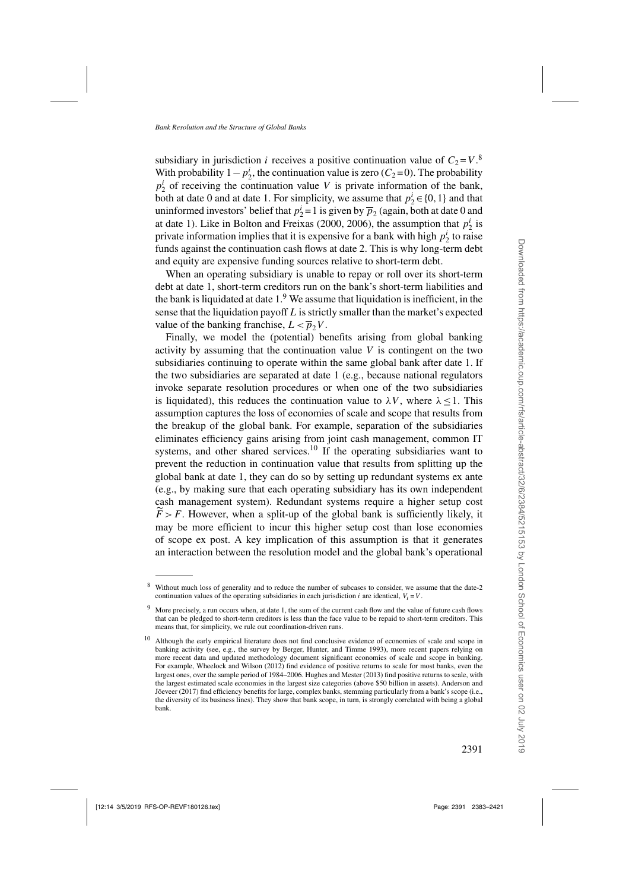subsidiary in jurisdiction *i* receives a positive continuation value of  $C_2 = V^8$ . With probability  $1 - p_2^i$ , the continuation value is zero ( $C_2 = 0$ ). The probability  $p_2^i$  of receiving the continuation value V is private information of the bank, both at date 0 and at date 1. For simplicity, we assume that  $p_2^i \in \{0, 1\}$  and that uninformed investors' belief that  $p_2^i = 1$  is given by  $\overline{p}_2$  (again, both at date 0 and at date 1). Like in [Bolton and Freixas](#page-36-0) [\(2000, 2006\)](#page-36-0), the assumption that  $p_2^i$  is private information implies that it is expensive for a bank with high  $p_2^i$  to raise funds against the continuation cash flows at date 2. This is why long-term debt and equity are expensive funding sources relative to short-term debt.

When an operating subsidiary is unable to repay or roll over its short-term debt at date 1, short-term creditors run on the bank's short-term liabilities and the bank is liquidated at date  $1<sup>9</sup>$  We assume that liquidation is inefficient, in the sense that the liquidation payoff  $L$  is strictly smaller than the market's expected value of the banking franchise,  $L < \overline{p}_2 V$ .

Finally, we model the (potential) benefits arising from global banking activity by assuming that the continuation value  $V$  is contingent on the two subsidiaries continuing to operate within the same global bank after date 1. If the two subsidiaries are separated at date 1 (e.g., because national regulators invoke separate resolution procedures or when one of the two subsidiaries is liquidated), this reduces the continuation value to  $\lambda V$ , where  $\lambda \leq 1$ . This assumption captures the loss of economies of scale and scope that results from the breakup of the global bank. For example, separation of the subsidiaries eliminates efficiency gains arising from joint cash management, common IT systems, and other shared services.<sup>10</sup> If the operating subsidiaries want to prevent the reduction in continuation value that results from splitting up the global bank at date 1, they can do so by setting up redundant systems ex ante (e.g., by making sure that each operating subsidiary has its own independent cash management system). Redundant systems require a higher setup cost  $\widetilde{F} > F$ . However, when a split-up of the global bank is sufficiently likely, it may be more efficient to incur this higher setup cost than lose economies of scope ex post. A key implication of this assumption is that it generates an interaction between the resolution model and the global bank's operational

<sup>8</sup> Without much loss of generality and to reduce the number of subcases to consider, we assume that the date-2 continuation values of the operating subsidiaries in each jurisdiction i are identical,  $V_i = V$ .

More precisely, a run occurs when, at date 1, the sum of the current cash flow and the value of future cash flows that can be pledged to short-term creditors is less than the face value to be repaid to short-term creditors. This means that, for simplicity, we rule out coordination-driven runs.

<sup>&</sup>lt;sup>10</sup> Although the early empirical literature does not find conclusive evidence of economies of scale and scope in banking activity (see, e.g., the survey by [Berger, Hunter, and Timme 1993\)](#page-36-0), more recent papers relying on more recent data and updated methodology document significant economies of scale and scope in banking. For example, [Wheelock and Wilson \(2012](#page-38-0)) find evidence of positive returns to scale for most banks, even the largest ones, over the sample period of 1984–2006[. Hughes and Mester](#page-37-0) [\(2013\)](#page-37-0) find positive returns to scale, with the larg[est estimated scale economies in the largest size categories \(above \\$50 billion in assets\).](#page-36-0) Anderson and Jõeveer [\(2017](#page-36-0)) find efficiency benefits for large, complex banks, stemming particularly from a bank's scope (i.e., the diversity of its business lines). They show that bank scope, in turn, is strongly correlated with being a global bank.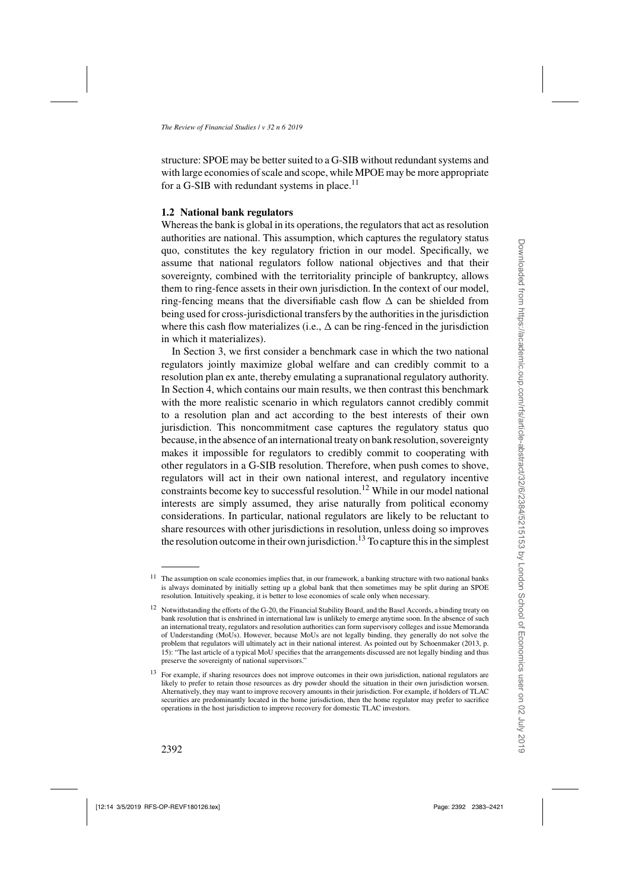structure: SPOE may be better suited to a G-SIB without redundant systems and with large economies of scale and scope, while MPOE may be more appropriate for a G-SIB with redundant systems in place.<sup>11</sup>

# **1.2 National bank regulators**

Whereas the bank is global in its operations, the regulators that act as resolution authorities are national. This assumption, which captures the regulatory status quo, constitutes the key regulatory friction in our model. Specifically, we assume that national regulators follow national objectives and that their sovereignty, combined with the territoriality principle of bankruptcy, allows them to ring-fence assets in their own jurisdiction. In the context of our model, ring-fencing means that the diversifiable cash flow  $\Delta$  can be shielded from being used for cross-jurisdictional transfers by the authorities in the jurisdiction where this cash flow materializes (i.e.,  $\Delta$  can be ring-fenced in the jurisdiction in which it materializes).

In Section [3,](#page-11-0) we first consider a benchmark case in which the two national regulators jointly maximize global welfare and can credibly commit to a resolution plan ex ante, thereby emulating a supranational regulatory authority. In Section [4,](#page-15-0) which contains our main results, we then contrast this benchmark with the more realistic scenario in which regulators cannot credibly commit to a resolution plan and act according to the best interests of their own jurisdiction. This noncommitment case captures the regulatory status quo because, in the absence of an international treaty on bank resolution, sovereignty makes it impossible for regulators to credibly commit to cooperating with other regulators in a G-SIB resolution. Therefore, when push comes to shove, regulators will act in their own national interest, and regulatory incentive constraints become key to successful resolution.<sup>12</sup> While in our model national interests are simply assumed, they arise naturally from political economy considerations. In particular, national regulators are likely to be reluctant to share resources with other jurisdictions in resolution, unless doing so improves the resolution outcome in their own jurisdiction.<sup>13</sup> To capture this in the simplest

 $11$  The assumption on scale economies implies that, in our framework, a banking structure with two national banks is always dominated by initially setting up a global bank that then sometimes may be split during an SPOE resolution. Intuitively speaking, it is better to lose economies of scale only when necessary.

<sup>&</sup>lt;sup>12</sup> Notwithstanding the efforts of the G-20, the Financial Stability Board, and the Basel Accords, a binding treaty on bank resolution that is enshrined in international law is unlikely to emerge anytime soon. In the absence of such an international treaty, regulators and resolution authorities can form supervisory colleges and issue Memoranda of Understanding (MoUs). However, because MoUs are not legally binding, they generally do not solve the problem that regulators will ultimately act in their national interest. As pointed out by [Schoenmaker](#page-38-0) [\(2013](#page-38-0), p. 15): "The last article of a typical MoU specifies that the arrangements discussed are not legally binding and thus preserve the sovereignty of national supervisors."

<sup>&</sup>lt;sup>13</sup> For example, if sharing resources does not improve outcomes in their own jurisdiction, national regulators are likely to prefer to retain those resources as dry powder should the situation in their own jurisdiction worsen. Alternatively, they may want to improve recovery amounts in their jurisdiction. For example, if holders of TLAC securities are predominantly located in the home jurisdiction, then the home regulator may prefer to sacrifice operations in the host jurisdiction to improve recovery for domestic TLAC investors.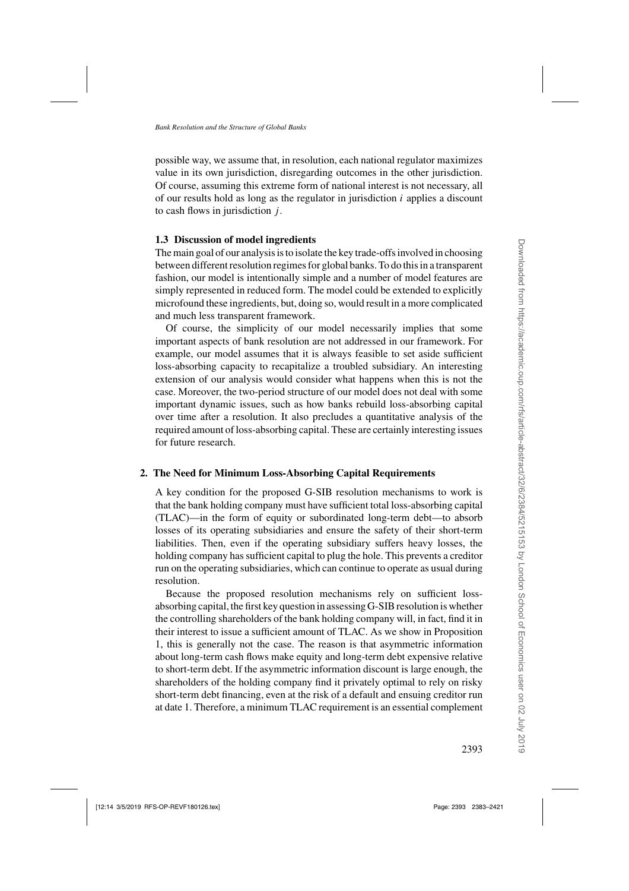<span id="page-10-0"></span>possible way, we assume that, in resolution, each national regulator maximizes value in its own jurisdiction, disregarding outcomes in the other jurisdiction. Of course, assuming this extreme form of national interest is not necessary, all of our results hold as long as the regulator in jurisdiction i applies a discount to cash flows in jurisdiction  $i$ .

# **1.3 Discussion of model ingredients**

The main goal of our analysis is to isolate the key trade-offs involved in choosing between different resolution regimes for global banks. To do this in a transparent fashion, our model is intentionally simple and a number of model features are simply represented in reduced form. The model could be extended to explicitly microfound these ingredients, but, doing so, would result in a more complicated and much less transparent framework.

Of course, the simplicity of our model necessarily implies that some important aspects of bank resolution are not addressed in our framework. For example, our model assumes that it is always feasible to set aside sufficient loss-absorbing capacity to recapitalize a troubled subsidiary. An interesting extension of our analysis would consider what happens when this is not the case. Moreover, the two-period structure of our model does not deal with some important dynamic issues, such as how banks rebuild loss-absorbing capital over time after a resolution. It also precludes a quantitative analysis of the required amount of loss-absorbing capital. These are certainly interesting issues for future research.

# **2. The Need for Minimum Loss-Absorbing Capital Requirements**

A key condition for the proposed G-SIB resolution mechanisms to work is that the bank holding company must have sufficient total loss-absorbing capital (TLAC)—in the form of equity or subordinated long-term debt—to absorb losses of its operating subsidiaries and ensure the safety of their short-term liabilities. Then, even if the operating subsidiary suffers heavy losses, the holding company has sufficient capital to plug the hole. This prevents a creditor run on the operating subsidiaries, which can continue to operate as usual during resolution.

Because the proposed resolution mechanisms rely on sufficient lossabsorbing capital, the first key question in assessing G-SIB resolution is whether the controlling shareholders of the bank holding company will, in fact, find it in their interest to issue a sufficient amount of TLAC. As we show in Proposition [1,](#page-11-0) this is generally not the case. The reason is that asymmetric information about long-term cash flows make equity and long-term debt expensive relative to short-term debt. If the asymmetric information discount is large enough, the shareholders of the holding company find it privately optimal to rely on risky short-term debt financing, even at the risk of a default and ensuing creditor run at date 1. Therefore, a minimum TLAC requirement is an essential complement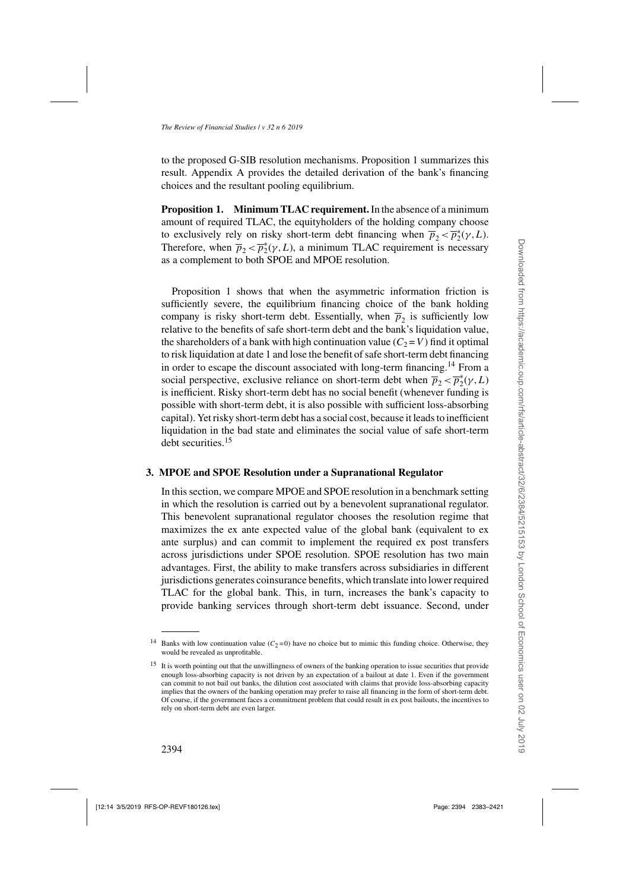<span id="page-11-0"></span>to the proposed G-SIB resolution mechanisms. Proposition 1 summarizes this result. Appendix A provides the detailed derivation of the bank's financing choices and the resultant pooling equilibrium.

**Proposition 1. Minimum TLAC requirement.**In the absence of a minimum amount of required TLAC, the equityholders of the holding company choose to exclusively rely on risky short-term debt financing when  $\bar{p}_2 < \bar{p}_2^*(\gamma,L)$ . Therefore, when  $\overline{p}_2 < \overline{p}_2^*(\gamma, L)$ , a minimum TLAC requirement is necessary as a complement to both SPOE and MPOE resolution.

Proposition 1 shows that when the asymmetric information friction is sufficiently severe, the equilibrium financing choice of the bank holding company is risky short-term debt. Essentially, when  $\overline{p}_2$  is sufficiently low relative to the benefits of safe short-term debt and the bank's liquidation value, the shareholders of a bank with high continuation value  $(C_2 = V)$  find it optimal to risk liquidation at date 1 and lose the benefit of safe short-term debt financing in order to escape the discount associated with long-term financing.<sup>14</sup> From a social perspective, exclusive reliance on short-term debt when  $\overline{p}_2 < \overline{p}_2^*(\gamma, L)$ is inefficient. Risky short-term debt has no social benefit (whenever funding is possible with short-term debt, it is also possible with sufficient loss-absorbing capital). Yet risky short-term debt has a social cost, because it leads to inefficient liquidation in the bad state and eliminates the social value of safe short-term debt securities.<sup>15</sup>

### **3. MPOE and SPOE Resolution under a Supranational Regulator**

In this section, we compare MPOE and SPOE resolution in a benchmark setting in which the resolution is carried out by a benevolent supranational regulator. This benevolent supranational regulator chooses the resolution regime that maximizes the ex ante expected value of the global bank (equivalent to ex ante surplus) and can commit to implement the required ex post transfers across jurisdictions under SPOE resolution. SPOE resolution has two main advantages. First, the ability to make transfers across subsidiaries in different jurisdictions generates coinsurance benefits, which translate into lower required TLAC for the global bank. This, in turn, increases the bank's capacity to provide banking services through short-term debt issuance. Second, under

<sup>&</sup>lt;sup>14</sup> Banks with low continuation value (C<sub>2</sub> = 0) have no choice but to mimic this funding choice. Otherwise, they would be revealed as unprofitable.

<sup>&</sup>lt;sup>15</sup> It is worth pointing out that the unwillingness of owners of the banking operation to issue securities that provide enough loss-absorbing capacity is not driven by an expectation of a bailout at date 1. Even if the government can commit to not bail out banks, the dilution cost associated with claims that provide loss-absorbing capacity implies that the owners of the banking operation may prefer to raise all financing in the form of short-term debt. Of course, if the government faces a commitment problem that could result in ex post bailouts, the incentives to rely on short-term debt are even larger.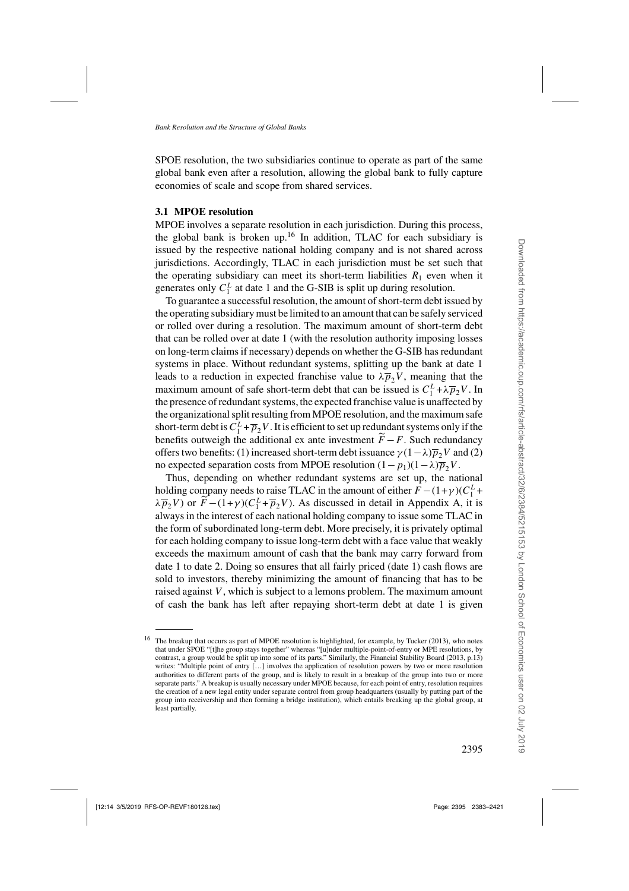SPOE resolution, the two subsidiaries continue to operate as part of the same global bank even after a resolution, allowing the global bank to fully capture economies of scale and scope from shared services.

# **3.1 MPOE resolution**

MPOE involves a separate resolution in each jurisdiction. During this process, the global bank is broken up.<sup>16</sup> In addition, TLAC for each subsidiary is issued by the respective national holding company and is not shared across jurisdictions. Accordingly, TLAC in each jurisdiction must be set such that the operating subsidiary can meet its short-term liabilities  $R_1$  even when it generates only  $C_1^L$  at date 1 and the G-SIB is split up during resolution.

To guarantee a successful resolution, the amount of short-term debt issued by the operating subsidiary must be limited to an amount that can be safely serviced or rolled over during a resolution. The maximum amount of short-term debt that can be rolled over at date 1 (with the resolution authority imposing losses on long-term claims if necessary) depends on whether the G-SIB has redundant systems in place. Without redundant systems, splitting up the bank at date 1 leads to a reduction in expected franchise value to  $\lambda \overline{p}_2 V$ , meaning that the maximum amount of safe short-term debt that can be issued is  $C_1^L + \lambda \overline{p}_2 V$ . In the presence of redundant systems, the expected franchise value is unaffected by the organizational split resulting from MPOE resolution, and the maximum safe short-term debt is  $C_1^L + \overline{p}_2 V$ . It is efficient to set up redundant systems only if the benefits outweigh the additional ex ante investment  $\widetilde{F} - F$ . Such redundancy offers two benefits: (1) increased short-term debt issuance  $\gamma(1-\lambda)\overline{p}_2V$  and (2) no expected separation costs from MPOE resolution  $(1-p_1)(1-\lambda)\overline{p}_2V$ .

Thus, depending on whether redundant systems are set up, the national holding company needs to raise TLAC in the amount of either  $F - (1 + \gamma)(C_1^L +$  $(\lambda \overline{p}_2 V)$  or  $\widetilde{F} - (1 + \gamma)(C_1^L + \overline{p}_2 V)$ . As discussed in detail in Appendix A, it is always in the interest of each national holding company to issue some TLAC in the form of subordinated long-term debt. More precisely, it is privately optimal for each holding company to issue long-term debt with a face value that weakly exceeds the maximum amount of cash that the bank may carry forward from date 1 to date 2. Doing so ensures that all fairly priced (date 1) cash flows are sold to investors, thereby minimizing the amount of financing that has to be raised against  $V$ , which is subject to a lemons problem. The maximum amount of cash the bank has left after repaying short-term debt at date 1 is given

<sup>&</sup>lt;sup>16</sup> The breakup that occurs as part of MPOE resolution is highlighted, for example, by [Tucker](#page-38-0) [\(2013\)](#page-38-0), who notes that under SPOE "[t]he group stays together" whereas "[u]nder multiple-point-of-entry or MPE resolutions, by contrast, a group would be split up into some of its parts." Similarly, the [Financial Stability Board \(2013](#page-37-0), p.13) writes: "Multiple point of entry […] involves the application of resolution powers by two or more resolution authorities to different parts of the group, and is likely to result in a breakup of the group into two or more separate parts." A breakup is usually necessary under MPOE because, for each point of entry, resolution requires the creation of a new legal entity under separate control from group headquarters (usually by putting part of the group into receivership and then forming a bridge institution), which entails breaking up the global group, at least partially.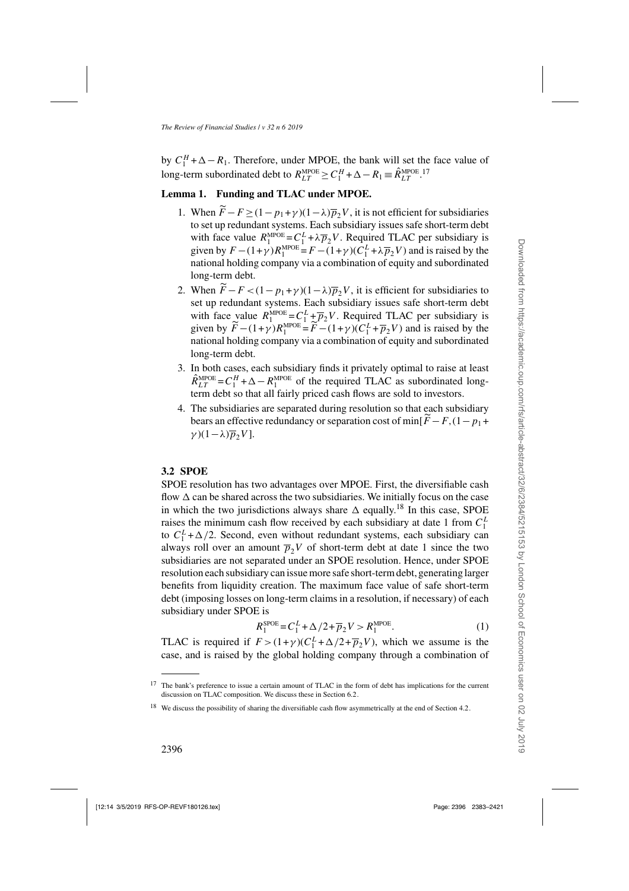<span id="page-13-0"></span>by  $C_1^H + \Delta - R_1$ . Therefore, under MPOE, the bank will set the face value of long-term subordinated debt to  $R_{LT}^{\text{MPOE}} \ge C_1^H + \Delta - R_1 \equiv \hat{R}_{LT}^{\text{MPOE}}$ .<sup>17</sup>

# **Lemma 1. Funding and TLAC under MPOE.**

- 1. When  $\widetilde{F} F \geq (1 p_1 + \gamma)(1 \lambda)\overline{p}_2 V$ , it is not efficient for subsidiaries to set up redundant systems. Each subsidiary issues safe short-term debt with face value  $R_1^{\text{MPOE}} = C_1^L + \lambda \overline{p}_2 V$ . Required TLAC per subsidiary is given by  $F - (1 + \gamma)R_1^{\text{MPOE}} = F - (1 + \gamma)(C_1^L + \lambda \overline{p}_2 V)$  and is raised by the national holding company via a combination of equity and subordinated long-term debt.
- 2. When  $\widetilde{F} F < (1 p_1 + \gamma)(1 \lambda)\overline{p}_2 V$ , it is efficient for subsidiaries to set up redundant systems. Each subsidiary issues safe short-term debt with face value  $R_1^{\text{MPOE}} = C_1^L + \overline{p}_2 V$ . Required TLAC per subsidiary is given by  $\widetilde{F} - (1+\gamma)R_1^{\text{MPOE}} = \widetilde{F} - (1+\gamma)(C_1^L + \overline{p}_2 V)$  and is raised by the national holding company via a combination of equity and subordinated long-term debt.
- 3. In both cases, each subsidiary finds it privately optimal to raise at least  $\hat{R}_{LT}^{\text{MPOE}} = C_1^H + \Delta - R_1^{\text{MPOE}}$  of the required TLAC as subordinated longterm debt so that all fairly priced cash flows are sold to investors.
- 4. The subsidiaries are separated during resolution so that each subsidiary bears an effective redundancy or separation cost of min $[\widetilde{F} - F, (1 - p_1 +$  $\gamma$ ) $(1-\lambda)\overline{p}_2V$ ].

# **3.2 SPOE**

SPOE resolution has two advantages over MPOE. First, the diversifiable cash flow  $\Delta$  can be shared across the two subsidiaries. We initially focus on the case in which the two jurisdictions always share  $\Delta$  equally.<sup>18</sup> In this case, SPOE raises the minimum cash flow received by each subsidiary at date 1 from  $C_1^L$ to  $C_1^L + \Delta/2$ . Second, even without redundant systems, each subsidiary can always roll over an amount  $\overline{p}_2V$  of short-term debt at date 1 since the two subsidiaries are not separated under an SPOE resolution. Hence, under SPOE resolution each subsidiary can issue more safe short-term debt, generating larger benefits from liquidity creation. The maximum face value of safe short-term debt (imposing losses on long-term claims in a resolution, if necessary) of each subsidiary under SPOE is

$$
R_1^{\text{SPOE}} = C_1^L + \Delta/2 + \overline{p}_2 V > R_1^{\text{MPOE}}.
$$
 (1)

TLAC is required if  $F > (1+\gamma)(C_1^L + \Delta/2 + \overline{p}_2 V)$ , which we assume is the case, and is raised by the global holding company through a combination of

<sup>&</sup>lt;sup>17</sup> The bank's preference to issue a certain amount of TLAC in the form of debt has implications for the current discussion on TLAC composition. We discuss these in Section [6.2.](#page-29-0)

<sup>&</sup>lt;sup>18</sup> We discuss the possibility of sharing the diversifiable cash flow asymmetrically at the end of Section [4.2.](#page-17-0)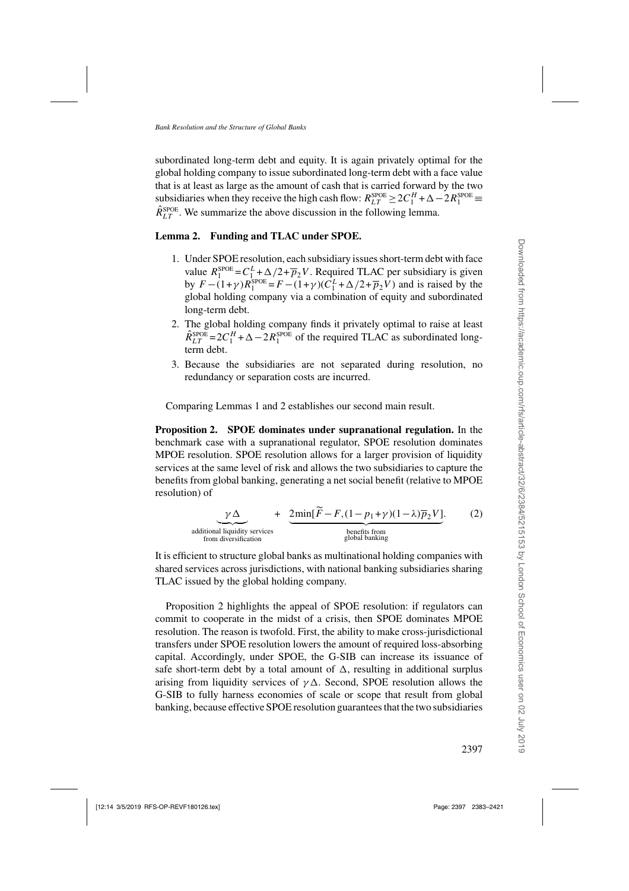<span id="page-14-0"></span>subordinated long-term debt and equity. It is again privately optimal for the global holding company to issue subordinated long-term debt with a face value that is at least as large as the amount of cash that is carried forward by the two subsidiaries when they receive the high cash flow:  $R_{LT}^{SPOE} \ge 2C_1^H + \Delta - 2R_1^{SPOE} \equiv$  $\hat{R}_{LT}^{\text{SPOE}}$ . We summarize the above discussion in the following lemma.

### **Lemma 2. Funding and TLAC under SPOE.**

- 1. Under SPOE resolution, each subsidiary issues short-term debt with face value  $R_1^{\text{SPOE}} = C_1^L + \Delta/2 + \overline{p}_2 V$ . Required TLAC per subsidiary is given by  $F - (1+\gamma)R_1^{\text{SPOE}} = F - (1+\gamma)(C_1^L + \Delta/2 + \overline{p}_2V)$  and is raised by the global holding company via a combination of equity and subordinated long-term debt.
- 2. The global holding company finds it privately optimal to raise at least  $\hat{R}_{LT}^{\text{SPOE}} = 2C_1^H + \Delta - 2R_1^{\text{SPOE}}$  of the required TLAC as subordinated longterm debt.
- 3. Because the subsidiaries are not separated during resolution, no redundancy or separation costs are incurred.

Comparing Lemmas [1](#page-13-0) and 2 establishes our second main result.

**Proposition 2. SPOE dominates under supranational regulation.** In the benchmark case with a supranational regulator, SPOE resolution dominates MPOE resolution. SPOE resolution allows for a larger provision of liquidity services at the same level of risk and allows the two subsidiaries to capture the benefits from global banking, generating a net social benefit (relative to MPOE resolution) of

$$
\underbrace{\gamma \Delta}_{\text{additional liquidity services}} + \underbrace{2 \min[\widetilde{F} - F, (1 - p_1 + \gamma)(1 - \lambda)\overline{p}_2 V]}_{\text{benefits from diversification}}.
$$
 (2)

It is efficient to structure global banks as multinational holding companies with shared services across jurisdictions, with national banking subsidiaries sharing TLAC issued by the global holding company.

Proposition 2 highlights the appeal of SPOE resolution: if regulators can commit to cooperate in the midst of a crisis, then SPOE dominates MPOE resolution. The reason is twofold. First, the ability to make cross-jurisdictional transfers under SPOE resolution lowers the amount of required loss-absorbing capital. Accordingly, under SPOE, the G-SIB can increase its issuance of safe short-term debt by a total amount of  $\Delta$ , resulting in additional surplus arising from liquidity services of  $\gamma \Delta$ . Second, SPOE resolution allows the G-SIB to fully harness economies of scale or scope that result from global banking, because effective SPOE resolution guarantees that the two subsidiaries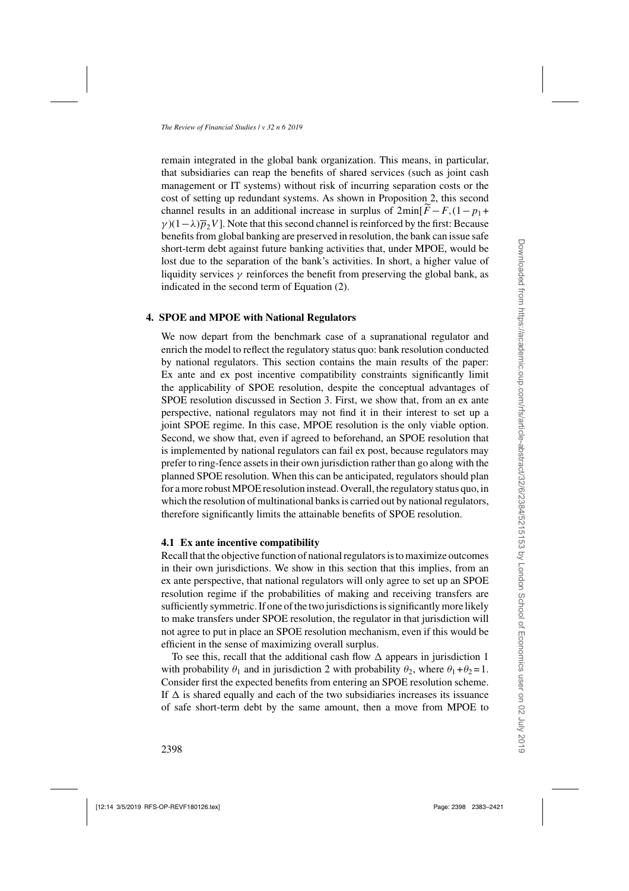<span id="page-15-0"></span>remain integrated in the global bank organization. This means, in particular, that subsidiaries can reap the benefits of shared services (such as joint cash management or IT systems) without risk of incurring separation costs or the cost of setting up redundant systems. As shown in Proposition [2,](#page-14-0) this second channel results in an additional increase in surplus of  $2min[\widetilde{F} - F, (1 - p_1 +$  $\gamma$ )(1− $\lambda$ ) $\overline{p}$ , V]. Note that this second channel is reinforced by the first: Because benefits from global banking are preserved in resolution, the bank can issue safe short-term debt against future banking activities that, under MPOE, would be lost due to the separation of the bank's activities. In short, a higher value of liquidity services  $\gamma$  reinforces the benefit from preserving the global bank, as indicated in the second term of Equation [\(2\)](#page-14-0).

# **4. SPOE and MPOE with National Regulators**

We now depart from the benchmark case of a supranational regulator and enrich the model to reflect the regulatory status quo: bank resolution conducted by national regulators. This section contains the main results of the paper: Ex ante and ex post incentive compatibility constraints significantly limit the applicability of SPOE resolution, despite the conceptual advantages of SPOE resolution discussed in Section [3.](#page-11-0) First, we show that, from an ex ante perspective, national regulators may not find it in their interest to set up a joint SPOE regime. In this case, MPOE resolution is the only viable option. Second, we show that, even if agreed to beforehand, an SPOE resolution that is implemented by national regulators can fail ex post, because regulators may prefer to ring-fence assets in their own jurisdiction rather than go along with the planned SPOE resolution. When this can be anticipated, regulators should plan for a more robust MPOE resolution instead. Overall, the regulatory status quo, in which the resolution of multinational banks is carried out by national regulators, therefore significantly limits the attainable benefits of SPOE resolution.

# **4.1 Ex ante incentive compatibility**

Recall that the objective function of national regulators is to maximize outcomes in their own jurisdictions. We show in this section that this implies, from an ex ante perspective, that national regulators will only agree to set up an SPOE resolution regime if the probabilities of making and receiving transfers are sufficiently symmetric. If one of the two jurisdictions is significantly more likely to make transfers under SPOE resolution, the regulator in that jurisdiction will not agree to put in place an SPOE resolution mechanism, even if this would be efficient in the sense of maximizing overall surplus.

To see this, recall that the additional cash flow  $\Delta$  appears in jurisdiction 1 with probability  $\theta_1$  and in jurisdiction 2 with probability  $\theta_2$ , where  $\theta_1 + \theta_2 = 1$ . Consider first the expected benefits from entering an SPOE resolution scheme. If  $\Delta$  is shared equally and each of the two subsidiaries increases its issuance of safe short-term debt by the same amount, then a move from MPOE to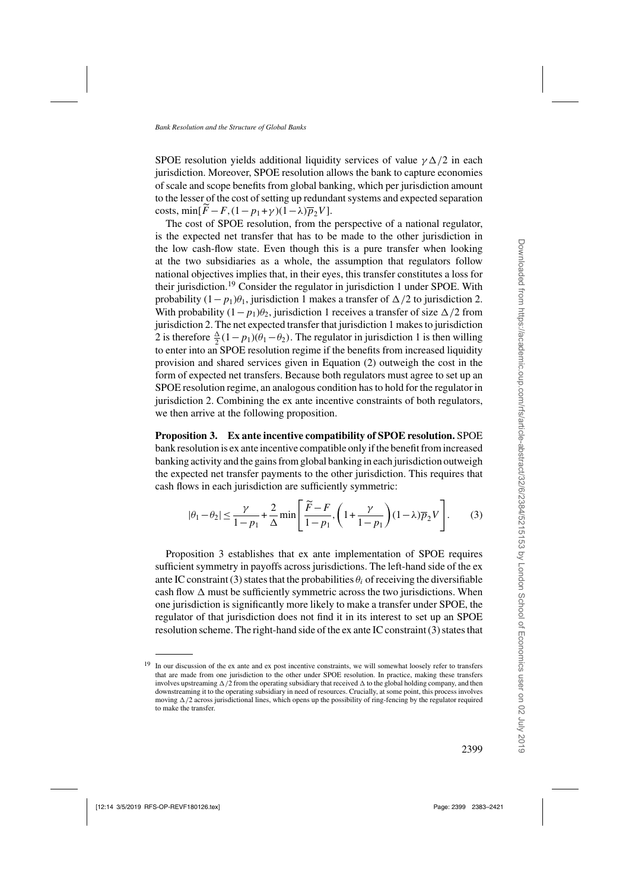<span id="page-16-0"></span>SPOE resolution yields additional liquidity services of value  $\gamma \Delta/2$  in each jurisdiction. Moreover, SPOE resolution allows the bank to capture economies of scale and scope benefits from global banking, which per jurisdiction amount to the lesser of the cost of setting up redundant systems and expected separation costs, min[ $\widetilde{F} - F$ ,  $(1 - p_1 + \gamma)(1 - \lambda)\overline{p}_2 V$ ].

The cost of SPOE resolution, from the perspective of a national regulator, is the expected net transfer that has to be made to the other jurisdiction in the low cash-flow state. Even though this is a pure transfer when looking at the two subsidiaries as a whole, the assumption that regulators follow national objectives implies that, in their eyes, this transfer constitutes a loss for their jurisdiction.<sup>19</sup> Consider the regulator in jurisdiction 1 under SPOE. With probability  $(1-p_1)\theta_1$ , jurisdiction 1 makes a transfer of  $\Delta/2$  to jurisdiction 2. With probability  $(1-p_1)\theta_2$ , jurisdiction 1 receives a transfer of size  $\Delta/2$  from jurisdiction 2. The net expected transfer that jurisdiction 1 makes to jurisdiction 2 is therefore  $\frac{\Delta}{2}(1-p_1)(\theta_1-\theta_2)$ . The regulator in jurisdiction 1 is then willing to enter into an SPOE resolution regime if the benefits from increased liquidity provision and shared services given in Equation [\(2\)](#page-14-0) outweigh the cost in the form of expected net transfers. Because both regulators must agree to set up an SPOE resolution regime, an analogous condition has to hold for the regulator in jurisdiction 2. Combining the ex ante incentive constraints of both regulators, we then arrive at the following proposition.

**Proposition 3. Ex ante incentive compatibility of SPOE resolution.** SPOE bank resolution is ex ante incentive compatible only if the benefit from increased banking activity and the gains from global banking in each jurisdiction outweigh the expected net transfer payments to the other jurisdiction. This requires that cash flows in each jurisdiction are sufficiently symmetric:

$$
|\theta_1 - \theta_2| \le \frac{\gamma}{1 - p_1} + \frac{2}{\Delta} \min\left[\frac{\widetilde{F} - F}{1 - p_1}, \left(1 + \frac{\gamma}{1 - p_1}\right)(1 - \lambda)\overline{p}_2 V\right].
$$
 (3)

Proposition 3 establishes that ex ante implementation of SPOE requires sufficient symmetry in payoffs across jurisdictions. The left-hand side of the ex ante IC constraint (3) states that the probabilities  $\theta_i$  of receiving the diversifiable cash flow  $\Delta$  must be sufficiently symmetric across the two jurisdictions. When one jurisdiction is significantly more likely to make a transfer under SPOE, the regulator of that jurisdiction does not find it in its interest to set up an SPOE resolution scheme. The right-hand side of the ex ante IC constraint (3) states that

<sup>&</sup>lt;sup>19</sup> In our discussion of the ex ante and ex post incentive constraints, we will somewhat loosely refer to transfers that are made from one jurisdiction to the other under SPOE resolution. In practice, making these transfers involves upstreaming  $\Delta/2$  from the operating subsidiary that received  $\Delta$  to the global holding company, and then downstreaming it to the operating subsidiary in need of resources. Crucially, at some point, this process involves moving  $\Delta/2$  across jurisdictional lines, which opens up the possibility of ring-fencing by the regulator required to make the transfer.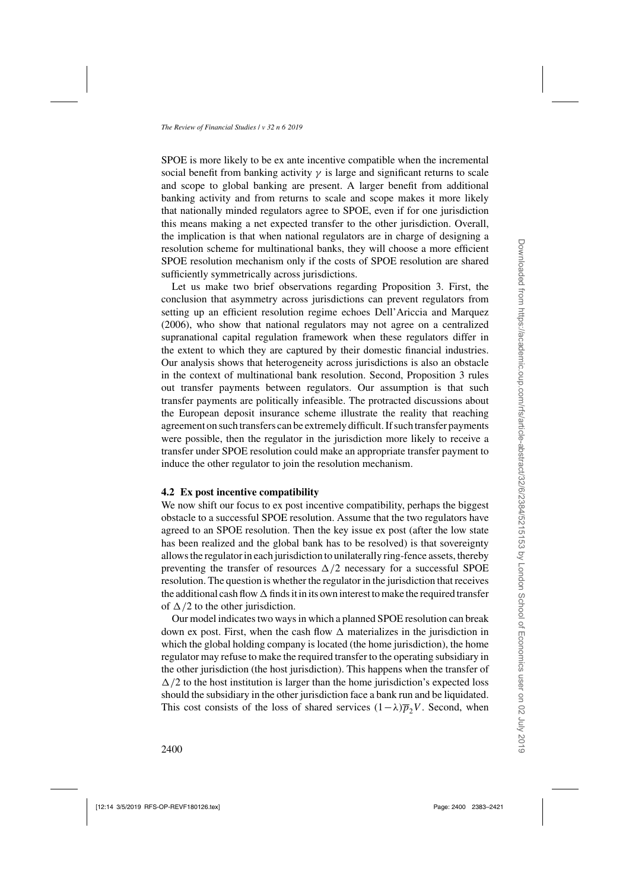<span id="page-17-0"></span>SPOE is more likely to be ex ante incentive compatible when the incremental social benefit from banking activity  $\gamma$  is large and significant returns to scale and scope to global banking are present. A larger benefit from additional banking activity and from returns to scale and scope makes it more likely that nationally minded regulators agree to SPOE, even if for one jurisdiction this means making a net expected transfer to the other jurisdiction. Overall, the implication is that when national regulators are in charge of designing a resolution scheme for multinational banks, they will choose a more efficient SPOE resolution mechanism only if the costs of SPOE resolution are shared sufficiently symmetrically across jurisdictions.

Let us make two brief observations regarding Proposition [3.](#page-16-0) First, the conclusion that asymmetry across jurisdictions can prevent regulators from setting up an efficient resolution regime echoes [Dell'Ariccia and Marquez](#page-37-0) [\(2006\)](#page-37-0), who show that national regulators may not agree on a centralized supranational capital regulation framework when these regulators differ in the extent to which they are captured by their domestic financial industries. Our analysis shows that heterogeneity across jurisdictions is also an obstacle in the context of multinational bank resolution. Second, Proposition [3](#page-16-0) rules out transfer payments between regulators. Our assumption is that such transfer payments are politically infeasible. The protracted discussions about the European deposit insurance scheme illustrate the reality that reaching agreement on such transfers can be extremely difficult. If such transfer payments were possible, then the regulator in the jurisdiction more likely to receive a transfer under SPOE resolution could make an appropriate transfer payment to induce the other regulator to join the resolution mechanism.

# **4.2 Ex post incentive compatibility**

We now shift our focus to ex post incentive compatibility, perhaps the biggest obstacle to a successful SPOE resolution. Assume that the two regulators have agreed to an SPOE resolution. Then the key issue ex post (after the low state has been realized and the global bank has to be resolved) is that sovereignty allows the regulator in each jurisdiction to unilaterally ring-fence assets, thereby preventing the transfer of resources  $\Delta/2$  necessary for a successful SPOE resolution. The question is whether the regulator in the jurisdiction that receives the additional cash flow  $\Delta$  finds it in its own interest to make the required transfer of  $\Delta/2$  to the other jurisdiction.

Our model indicates two ways in which a planned SPOE resolution can break down ex post. First, when the cash flow  $\Delta$  materializes in the jurisdiction in which the global holding company is located (the home jurisdiction), the home regulator may refuse to make the required transfer to the operating subsidiary in the other jurisdiction (the host jurisdiction). This happens when the transfer of  $\Delta/2$  to the host institution is larger than the home jurisdiction's expected loss should the subsidiary in the other jurisdiction face a bank run and be liquidated. This cost consists of the loss of shared services  $(1-\lambda)\overline{p}_2V$ . Second, when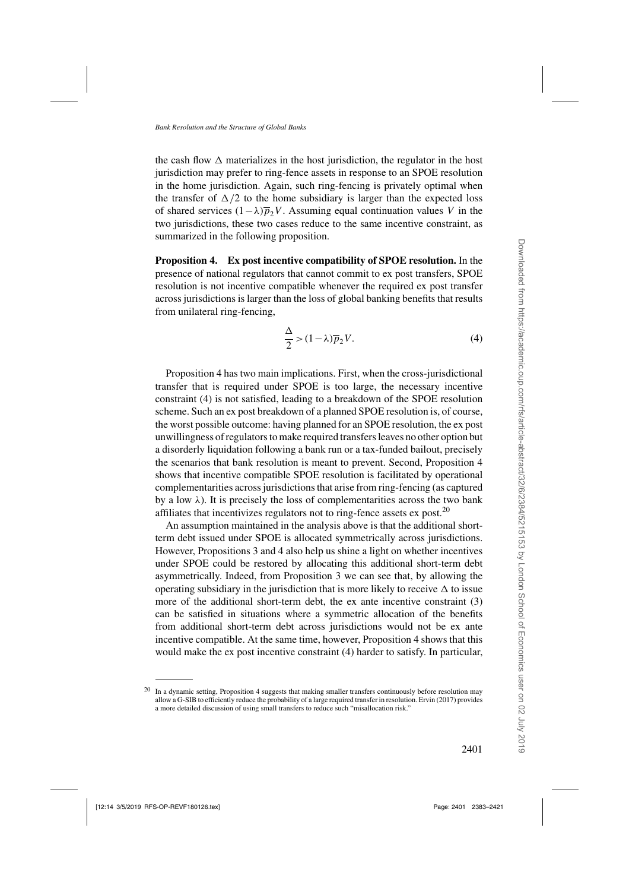<span id="page-18-0"></span>the cash flow  $\Delta$  materializes in the host jurisdiction, the regulator in the host jurisdiction may prefer to ring-fence assets in response to an SPOE resolution in the home jurisdiction. Again, such ring-fencing is privately optimal when the transfer of  $\Delta/2$  to the home subsidiary is larger than the expected loss of shared services  $(1-\lambda)\overline{p}_2V$ . Assuming equal continuation values V in the two jurisdictions, these two cases reduce to the same incentive constraint, as summarized in the following proposition.

**Proposition 4. Ex post incentive compatibility of SPOE resolution.** In the presence of national regulators that cannot commit to ex post transfers, SPOE resolution is not incentive compatible whenever the required ex post transfer across jurisdictions is larger than the loss of global banking benefits that results from unilateral ring-fencing,

$$
\frac{\Delta}{2} > (1 - \lambda)\overline{p}_2 V. \tag{4}
$$

Proposition 4 has two main implications. First, when the cross-jurisdictional transfer that is required under SPOE is too large, the necessary incentive constraint (4) is not satisfied, leading to a breakdown of the SPOE resolution scheme. Such an ex post breakdown of a planned SPOE resolution is, of course, the worst possible outcome: having planned for an SPOE resolution, the ex post unwillingness of regulators to make required transfers leaves no other option but a disorderly liquidation following a bank run or a tax-funded bailout, precisely the scenarios that bank resolution is meant to prevent. Second, Proposition 4 shows that incentive compatible SPOE resolution is facilitated by operational complementarities across jurisdictions that arise from ring-fencing (as captured by a low  $\lambda$ ). It is precisely the loss of complementarities across the two bank affiliates that incentivizes regulators not to ring-fence assets  $ex$  post.<sup>20</sup>

An assumption maintained in the analysis above is that the additional shortterm debt issued under SPOE is allocated symmetrically across jurisdictions. However, Propositions [3](#page-16-0) and 4 also help us shine a light on whether incentives under SPOE could be restored by allocating this additional short-term debt asymmetrically. Indeed, from Proposition [3](#page-16-0) we can see that, by allowing the operating subsidiary in the jurisdiction that is more likely to receive  $\Delta$  to issue more of the additional short-term debt, the ex ante incentive constraint [\(3\)](#page-16-0) can be satisfied in situations where a symmetric allocation of the benefits from additional short-term debt across jurisdictions would not be ex ante incentive compatible. At the same time, however, Proposition 4 shows that this would make the ex post incentive constraint (4) harder to satisfy. In particular,

<sup>&</sup>lt;sup>20</sup> In a dynamic setting, Proposition 4 suggests that making smaller transfers continuously before resolution may allow a G-SIB to efficiently reduce the probability of a large required transfer in resolution. [Ervin](#page-37-0) [\(2017\)](#page-37-0) provides a more detailed discussion of using small transfers to reduce such "misallocation risk."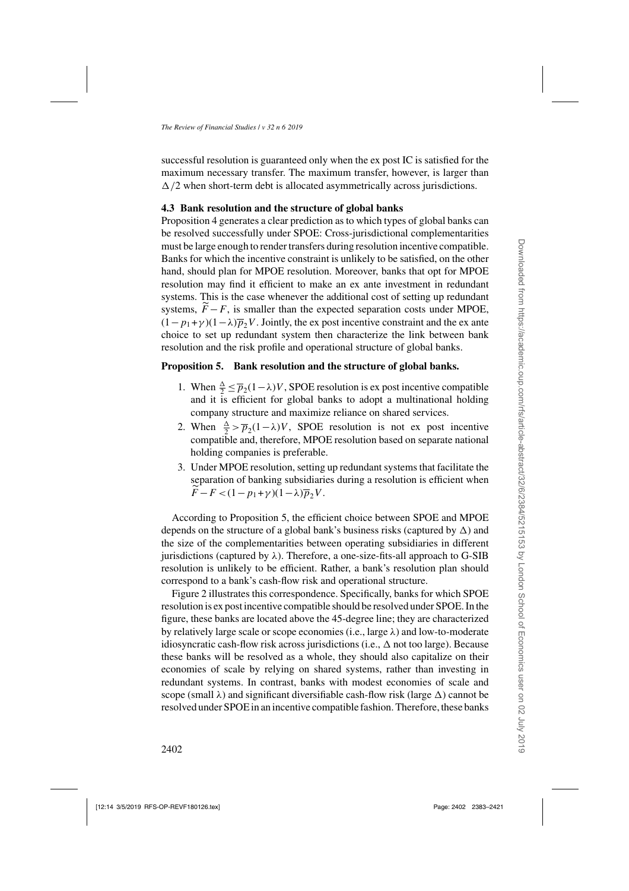<span id="page-19-0"></span>successful resolution is guaranteed only when the ex post IC is satisfied for the maximum necessary transfer. The maximum transfer, however, is larger than  $\Delta/2$  when short-term debt is allocated asymmetrically across jurisdictions.

# **4.3 Bank resolution and the structure of global banks**

Proposition [4](#page-18-0) generates a clear prediction as to which types of global banks can be resolved successfully under SPOE: Cross-jurisdictional complementarities must be large enough to render transfers during resolution incentive compatible. Banks for which the incentive constraint is unlikely to be satisfied, on the other hand, should plan for MPOE resolution. Moreover, banks that opt for MPOE resolution may find it efficient to make an ex ante investment in redundant systems. This is the case whenever the additional cost of setting up redundant systems,  $\widetilde{F} - F$ , is smaller than the expected separation costs under MPOE,  $(1-p_1+\gamma)(1-\lambda)\overline{p}_2V$ . Jointly, the ex post incentive constraint and the ex ante choice to set up redundant system then characterize the link between bank resolution and the risk profile and operational structure of global banks.

# **Proposition 5. Bank resolution and the structure of global banks.**

- 1. When  $\frac{\Delta}{2} \le \overline{p}_2(1-\lambda)V$ , SPOE resolution is ex post incentive compatible and it is efficient for global banks to adopt a multinational holding company structure and maximize reliance on shared services.
- 2. When  $\frac{\Delta}{2} > \overline{p}_2(1-\lambda)V$ , SPOE resolution is not ex post incentive compatible and, therefore, MPOE resolution based on separate national holding companies is preferable.
- 3. Under MPOE resolution, setting up redundant systems that facilitate the separation of banking subsidiaries during a resolution is efficient when  $\widetilde{F} - F < (1 - p_1 + \gamma)(1 - \lambda)\overline{p}_2 V.$

According to Proposition 5, the efficient choice between SPOE and MPOE depends on the structure of a global bank's business risks (captured by  $\Delta$ ) and the size of the complementarities between operating subsidiaries in different jurisdictions (captured by  $\lambda$ ). Therefore, a one-size-fits-all approach to G-SIB resolution is unlikely to be efficient. Rather, a bank's resolution plan should correspond to a bank's cash-flow risk and operational structure.

Figure [2](#page-20-0) illustrates this correspondence. Specifically, banks for which SPOE resolution is ex post incentive compatible should be resolved under SPOE. In the figure, these banks are located above the 45-degree line; they are characterized by relatively large scale or scope economies (i.e., large  $\lambda$ ) and low-to-moderate idiosyncratic cash-flow risk across jurisdictions (i.e.,  $\Delta$  not too large). Because these banks will be resolved as a whole, they should also capitalize on their economies of scale by relying on shared systems, rather than investing in redundant systems. In contrast, banks with modest economies of scale and scope (small  $\lambda$ ) and significant diversifiable cash-flow risk (large  $\Delta$ ) cannot be resolved under SPOE in an incentive compatible fashion. Therefore, these banks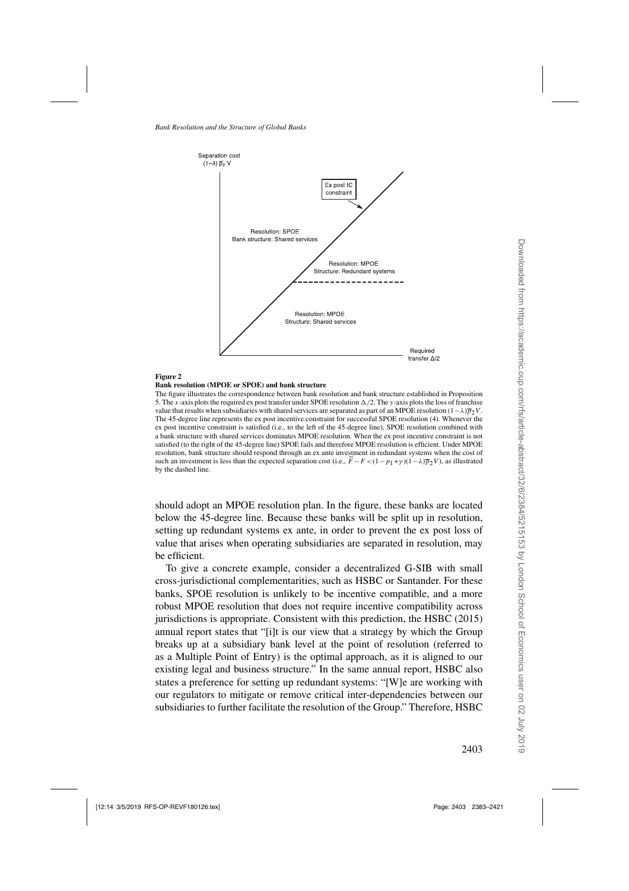<span id="page-20-0"></span>

#### **Figure 2**

#### **Bank resolution (MPOE or SPOE) and bank structure**

The figure illustrates the correspondence between bank resolution and bank structure established in Proposition [5.](#page-19-0) The x-axis plots the required ex post transfer under SPOE resolution  $\Delta/2$ . The y-axis plots the loss of franchise value that results when subsidiaries with shared services are separated as part of an MPOE resolution  $(1-\lambda)\overline{p}_2V$ . The 45-degree line represents the ex post incentive constraint for successful SPOE resolution [\(4\)](#page-18-0). Whenever the ex post incentive constraint is satisfied (i.e., to the left of the 45-degree line), SPOE resolution combined with a bank structure with shared services dominates MPOE resolution. When the ex post incentive constraint is not satisfied (to the right of the 45-degree line) SPOE fails and therefore MPOE resolution is efficient. Under MPOE resolution, bank structure should respond through an ex ante investment in redundant systems when the cost of such an investment is less than the expected separation cost (i.e.,  $\tilde{F} - F < (1 - p_1 + \gamma)(1 - \lambda)\overline{p}_2 V$ ), as illustrated by the dashed line.

should adopt an MPOE resolution plan. In the figure, these banks are located below the 45-degree line. Because these banks will be split up in resolution, setting up redundant systems ex ante, in order to prevent the ex post loss of value that arises when operating subsidiaries are separated in resolution, may be efficient.

To give a concrete example, consider a decentralized G-SIB with small cross-jurisdictional complementarities, such as HSBC or Santander. For these banks, SPOE resolution is unlikely to be incentive compatible, and a more robust MPOE resolution that does not require incentive compatibility across jurisdictions is appropriate. Consistent with this prediction, the [HSBC](#page-37-0) [\(2015](#page-37-0)) annual report states that "[i]t is our view that a strategy by which the Group breaks up at a subsidiary bank level at the point of resolution (referred to as a Multiple Point of Entry) is the optimal approach, as it is aligned to our existing legal and business structure." In the same annual report, HSBC also states a preference for setting up redundant systems: "[W]e are working with our regulators to mitigate or remove critical inter-dependencies between our subsidiaries to further facilitate the resolution of the Group." Therefore, HSBC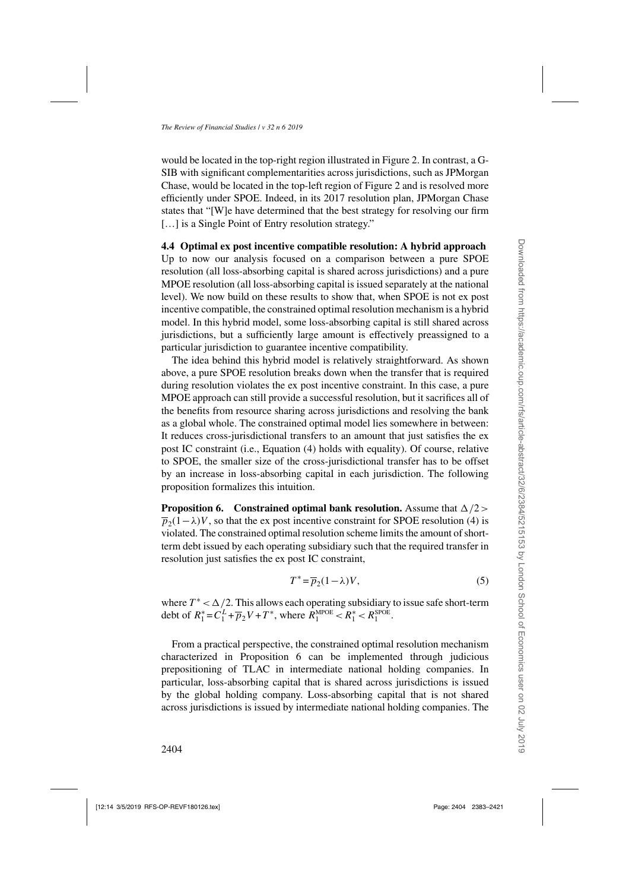<span id="page-21-0"></span>would be located in the top-right region illustrated in Figure [2.](#page-20-0) In contrast, a G-SIB with significant complementarities across jurisdictions, such as JPMorgan Chase, would be located in the top-left region of Figure [2](#page-20-0) and is resolved more efficiently under SPOE. Indeed, in its 2017 resolution plan, JPMorgan Chase states that "[W]e have determined that the best strategy for resolving our firm [...] is a Single Point of Entry resolution strategy."

# **4.4 Optimal ex post incentive compatible resolution: A hybrid approach**

Up to now our analysis focused on a comparison between a pure SPOE resolution (all loss-absorbing capital is shared across jurisdictions) and a pure MPOE resolution (all loss-absorbing capital is issued separately at the national level). We now build on these results to show that, when SPOE is not ex post incentive compatible, the constrained optimal resolution mechanism is a hybrid model. In this hybrid model, some loss-absorbing capital is still shared across jurisdictions, but a sufficiently large amount is effectively preassigned to a particular jurisdiction to guarantee incentive compatibility.

The idea behind this hybrid model is relatively straightforward. As shown above, a pure SPOE resolution breaks down when the transfer that is required during resolution violates the ex post incentive constraint. In this case, a pure MPOE approach can still provide a successful resolution, but it sacrifices all of the benefits from resource sharing across jurisdictions and resolving the bank as a global whole. The constrained optimal model lies somewhere in between: It reduces cross-jurisdictional transfers to an amount that just satisfies the ex post IC constraint (i.e., Equation [\(4\)](#page-18-0) holds with equality). Of course, relative to SPOE, the smaller size of the cross-jurisdictional transfer has to be offset by an increase in loss-absorbing capital in each jurisdiction. The following proposition formalizes this intuition.

**Proposition 6.** Constrained optimal bank resolution. Assume that  $\Delta/2$  $\overline{p}_2(1-\lambda)V$ , so that the ex post incentive constraint for SPOE resolution [\(4\)](#page-18-0) is violated. The constrained optimal resolution scheme limits the amount of shortterm debt issued by each operating subsidiary such that the required transfer in resolution just satisfies the ex post IC constraint,

$$
T^* = \overline{p}_2(1 - \lambda)V,\tag{5}
$$

where  $T^* < \Delta/2$ . This allows each operating subsidiary to issue safe short-term debt of  $R_1^* = C_1^L + \overline{p}_2 V + T^*$ , where  $R_1^{\text{MPOE}} < R_1^* < R_1^{\text{SPOE}}$ .

From a practical perspective, the constrained optimal resolution mechanism characterized in Proposition 6 can be implemented through judicious prepositioning of TLAC in intermediate national holding companies. In particular, loss-absorbing capital that is shared across jurisdictions is issued by the global holding company. Loss-absorbing capital that is not shared across jurisdictions is issued by intermediate national holding companies. The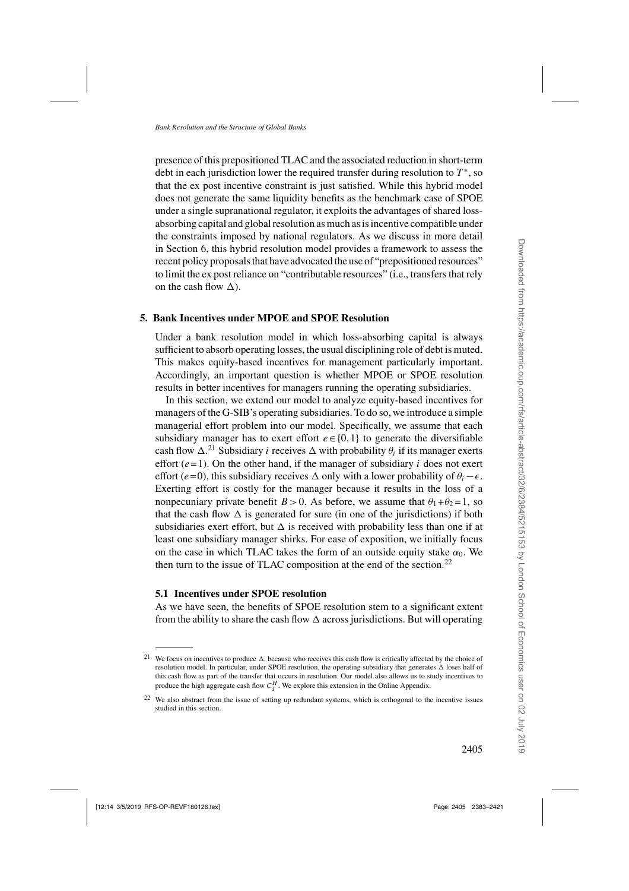presence of this prepositioned TLAC and the associated reduction in short-term debt in each jurisdiction lower the required transfer during resolution to  $T^*$ , so that the ex post incentive constraint is just satisfied. While this hybrid model does not generate the same liquidity benefits as the benchmark case of SPOE under a single supranational regulator, it exploits the advantages of shared lossabsorbing capital and global resolution as much as is incentive compatible under the constraints imposed by national regulators. As we discuss in more detail in Section [6,](#page-27-0) this hybrid resolution model provides a framework to assess the recent policy proposals that have advocated the use of "prepositioned resources" to limit the ex post reliance on "contributable resources" (i.e., transfers that rely on the cash flow  $\Delta$ ).

# **5. Bank Incentives under MPOE and SPOE Resolution**

Under a bank resolution model in which loss-absorbing capital is always sufficient to absorb operating losses, the usual disciplining role of debt is muted. This makes equity-based incentives for management particularly important. Accordingly, an important question is whether MPOE or SPOE resolution results in better incentives for managers running the operating subsidiaries.

In this section, we extend our model to analyze equity-based incentives for managers of the G-SIB's operating subsidiaries. To do so, we introduce a simple managerial effort problem into our model. Specifically, we assume that each subsidiary manager has to exert effort  $e \in \{0,1\}$  to generate the diversifiable cash flow  $\Delta$ .<sup>21</sup> Subsidiary *i* receives  $\Delta$  with probability  $\theta_i$  if its manager exerts effort  $(e=1)$ . On the other hand, if the manager of subsidiary *i* does not exert effort (e=0), this subsidiary receives  $\Delta$  only with a lower probability of  $\theta_i - \epsilon$ . Exerting effort is costly for the manager because it results in the loss of a nonpecuniary private benefit  $B > 0$ . As before, we assume that  $\theta_1 + \theta_2 = 1$ , so that the cash flow  $\Delta$  is generated for sure (in one of the jurisdictions) if both subsidiaries exert effort, but  $\Delta$  is received with probability less than one if at least one subsidiary manager shirks. For ease of exposition, we initially focus on the case in which TLAC takes the form of an outside equity stake  $\alpha_0$ . We then turn to the issue of TLAC composition at the end of the section.<sup>22</sup>

# **5.1 Incentives under SPOE resolution**

As we have seen, the benefits of SPOE resolution stem to a significant extent from the ability to share the cash flow  $\Delta$  across jurisdictions. But will operating

<sup>&</sup>lt;sup>21</sup> We focus on incentives to produce  $\Delta$ , because who receives this cash flow is critically affected by the choice of resolution model. In particular, under SPOE resolution, the operating subsidiary that generates  $\Delta$  loses half of this cash flow as part of the transfer that occurs in resolution. Our model also allows us to study incentives to produce the high aggregate cash flow  $C_1^H$ . We explore this extension in the Online Appendix.

<sup>22</sup> We also abstract from the issue of setting up redundant systems, which is orthogonal to the incentive issues studied in this section.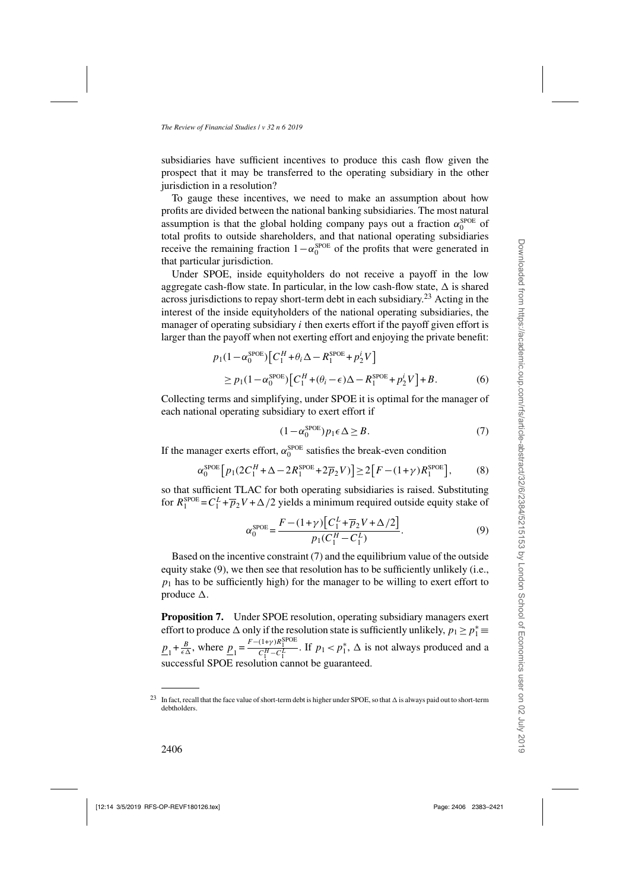<span id="page-23-0"></span>subsidiaries have sufficient incentives to produce this cash flow given the prospect that it may be transferred to the operating subsidiary in the other jurisdiction in a resolution?

To gauge these incentives, we need to make an assumption about how profits are divided between the national banking subsidiaries. The most natural assumption is that the global holding company pays out a fraction  $\alpha_0^{\text{SPOE}}$  of total profits to outside shareholders, and that national operating subsidiaries receive the remaining fraction  $1 - \alpha_0^{\text{SPOE}}$  of the profits that were generated in that particular jurisdiction.

Under SPOE, inside equityholders do not receive a payoff in the low aggregate cash-flow state. In particular, in the low cash-flow state,  $\Delta$  is shared across jurisdictions to repay short-term debt in each subsidiary.<sup>23</sup> Acting in the interest of the inside equityholders of the national operating subsidiaries, the manager of operating subsidiary  $i$  then exerts effort if the payoff given effort is larger than the payoff when not exerting effort and enjoying the private benefit:

$$
p_1(1 - \alpha_0^{\text{SPOE}}) \left[ C_1^H + \theta_i \Delta - R_1^{\text{SPOE}} + p_2^i V \right]
$$
  
\n
$$
\ge p_1(1 - \alpha_0^{\text{SPOE}}) \left[ C_1^H + (\theta_i - \epsilon) \Delta - R_1^{\text{SPOE}} + p_2^i V \right] + B.
$$
 (6)

Collecting terms and simplifying, under SPOE it is optimal for the manager of each national operating subsidiary to exert effort if

$$
(1 - \alpha_0^{\text{SPOE}}) p_1 \epsilon \Delta \ge B. \tag{7}
$$

If the manager exerts effort,  $\alpha_0^{\text{SPOE}}$  satisfies the break-even condition

$$
\alpha_0^{\text{SPOE}} \left[ p_1 (2C_1^H + \Delta - 2R_1^{\text{SPOE}} + 2\overline{p}_2 V) \right] \ge 2 \left[ F - (1 + \gamma) R_1^{\text{SPOE}} \right],\tag{8}
$$

so that sufficient TLAC for both operating subsidiaries is raised. Substituting for  $R_1^{\text{SPOE}} = C_1^L + \overline{p}_2 V + \Delta/2$  yields a minimum required outside equity stake of

$$
\alpha_0^{\text{SPOE}} = \frac{F - (1 + \gamma) \left[ C_1^L + \overline{p}_2 V + \Delta / 2 \right]}{p_1 (C_1^H - C_1^L)}.
$$
\n(9)

Based on the incentive constraint (7) and the equilibrium value of the outside equity stake (9), we then see that resolution has to be sufficiently unlikely (i.e.,  $p_1$  has to be sufficiently high) for the manager to be willing to exert effort to produce  $\Delta$ .

**Proposition 7.** Under SPOE resolution, operating subsidiary managers exert effort to produce  $\Delta$  only if the resolution state is sufficiently unlikely,  $p_1 \geq p_1^* \equiv$  $\underline{p}_1 + \frac{B}{\epsilon \Delta}$ , where  $\underline{p}_1 = \frac{F-(1+\gamma)R_1^{\text{SPOE}}}{C_1^H - C_1^L}$ . If  $p_1 < p_1^*$ ,  $\Delta$  is not always produced and a successful SPOE resolution cannot be guaranteed.

<sup>&</sup>lt;sup>23</sup> In fact, recall that the face value of short-term debt is higher under SPOE, so that  $\Delta$  is always paid out to short-term debtholders.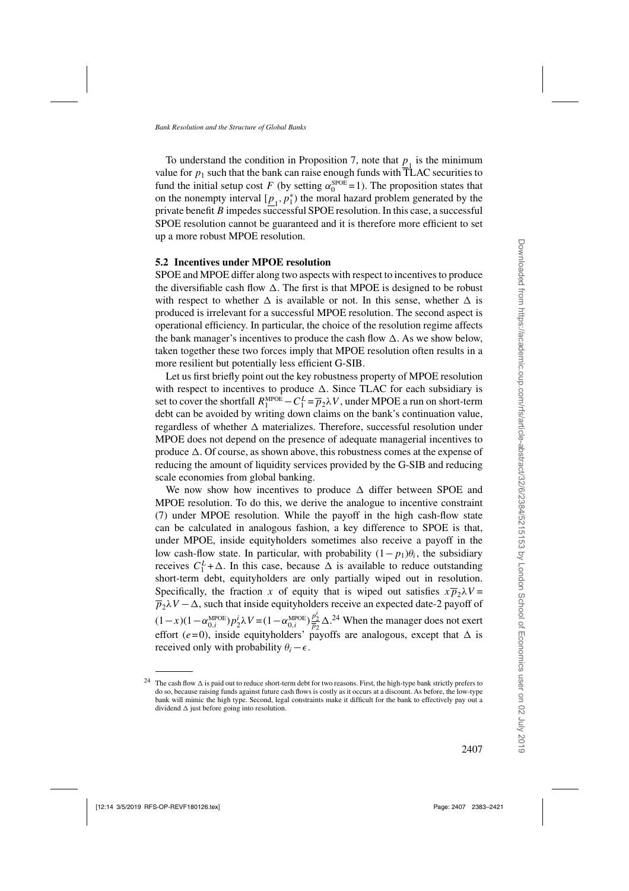To understand the condition in Proposition [7,](#page-23-0) note that  $p_1$  is the minimum value for  $p_1$  such that the bank can raise enough funds with  $\overrightarrow{T}$ LAC securities to fund the initial setup cost F (by setting  $\alpha_0^{\text{SPOE}} = 1$ ). The proposition states that on the nonempty interval  $[\underline{p}_1, p_1^*]$  the moral hazard problem generated by the private benefit  $B$  impedes successful SPOE resolution. In this case, a successful SPOE resolution cannot be guaranteed and it is therefore more efficient to set up a more robust MPOE resolution.

# **5.2 Incentives under MPOE resolution**

SPOE and MPOE differ along two aspects with respect to incentives to produce the diversifiable cash flow  $\Delta$ . The first is that MPOE is designed to be robust with respect to whether  $\Delta$  is available or not. In this sense, whether  $\Delta$  is produced is irrelevant for a successful MPOE resolution. The second aspect is operational efficiency. In particular, the choice of the resolution regime affects the bank manager's incentives to produce the cash flow  $\Delta$ . As we show below, taken together these two forces imply that MPOE resolution often results in a more resilient but potentially less efficient G-SIB.

Let us first briefly point out the key robustness property of MPOE resolution with respect to incentives to produce  $\Delta$ . Since TLAC for each subsidiary is set to cover the shortfall  $R_1^{\text{MPOE}} - C_1^L = \overline{p}_2 \lambda V$ , under MPOE a run on short-term debt can be avoided by writing down claims on the bank's continuation value, regardless of whether  $\Delta$  materializes. Therefore, successful resolution under MPOE does not depend on the presence of adequate managerial incentives to produce  $\Delta$ . Of course, as shown above, this robustness comes at the expense of reducing the amount of liquidity services provided by the G-SIB and reducing scale economies from global banking.

We now show how incentives to produce  $\Delta$  differ between SPOE and MPOE resolution. To do this, we derive the analogue to incentive constraint [\(7\)](#page-23-0) under MPOE resolution. While the payoff in the high cash-flow state can be calculated in analogous fashion, a key difference to SPOE is that, under MPOE, inside equityholders sometimes also receive a payoff in the low cash-flow state. In particular, with probability  $(1-p_1)\theta_i$ , the subsidiary receives  $C_1^L + \Delta$ . In this case, because  $\Delta$  is available to reduce outstanding short-term debt, equityholders are only partially wiped out in resolution. Specifically, the fraction x of equity that is wiped out satisfies  $x\overline{p}_2\lambda V =$  $\overline{p}_2\lambda V - \Delta$ , such that inside equityholders receive an expected date-2 payoff of  $(1-x)(1-\alpha_{0,i}^{\text{MPOE}})p_2^i\lambda V = (1-\alpha_{0,i}^{\text{MPOE}})\frac{p_2^i}{\overline{p}_2}\Delta$ .<sup>24</sup> When the manager does not exert effort (e=0), inside equityholders' payoffs are analogous, except that  $\Delta$  is received only with probability  $\theta_i - \epsilon$ .

<sup>&</sup>lt;sup>24</sup> The cash flow  $\Delta$  is paid out to reduce short-term debt for two reasons. First, the high-type bank strictly prefers to do so, because raising funds against future cash flows is costly as it occurs at a discount. As before, the low-type bank will mimic the high type. Second, legal constraints make it difficult for the bank to effectively pay out a dividend  $\Delta$  just before going into resolution.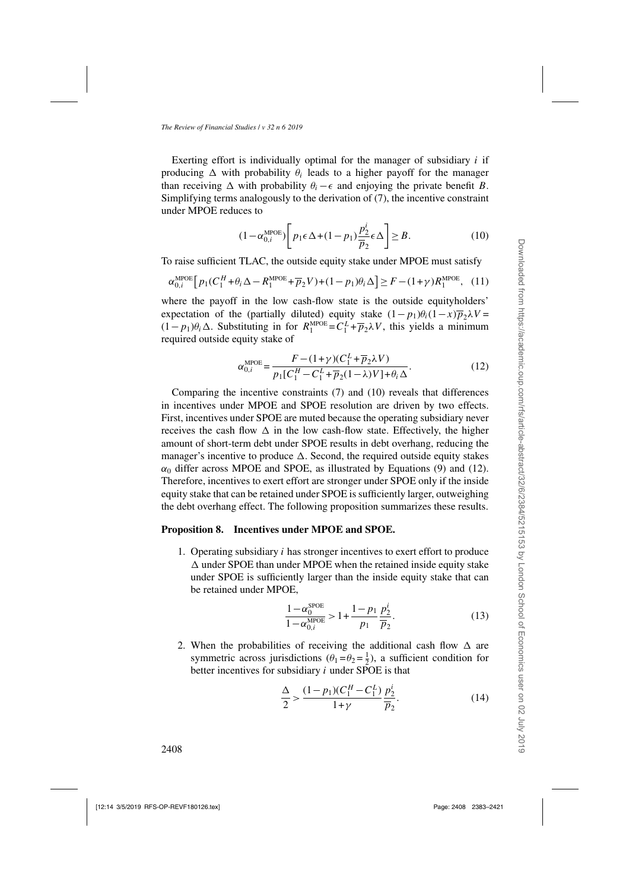<span id="page-25-0"></span>Exerting effort is individually optimal for the manager of subsidiary  $i$  if producing  $\Delta$  with probability  $\theta_i$  leads to a higher payoff for the manager than receiving  $\Delta$  with probability  $\theta_i - \epsilon$  and enjoying the private benefit B. Simplifying terms analogously to the derivation of [\(7\)](#page-23-0), the incentive constraint under MPOE reduces to

$$
(1 - \alpha_{0,i}^{\text{MPOE}}) \left[ p_1 \epsilon \Delta + (1 - p_1) \frac{p_2^i}{\overline{p}_2} \epsilon \Delta \right] \ge B. \tag{10}
$$

To raise sufficient TLAC, the outside equity stake under MPOE must satisfy

$$
\alpha_{0,i}^{\text{MPOE}} \left[ p_1 (C_1^H + \theta_i \Delta - R_1^{\text{MPOE}} + \overline{p}_2 V) + (1 - p_1) \theta_i \Delta \right] \ge F - (1 + \gamma) R_1^{\text{MPOE}}, \tag{11}
$$

where the payoff in the low cash-flow state is the outside equityholders' expectation of the (partially diluted) equity stake  $(1-p_1)\theta_i(1-x)\overline{p}_2\lambda V =$  $(1-p_1)\theta_i$   $\Delta$ . Substituting in for  $R_1^{\text{MPOE}} = C_1^L + \overline{p}_2 \lambda V$ , this yields a minimum required outside equity stake of

$$
\alpha_{0,i}^{\text{MPOE}} = \frac{F - (1+\gamma)(C_1^L + \overline{p}_2 \lambda V)}{p_1 [C_1^H - C_1^L + \overline{p}_2 (1-\lambda) V] + \theta_i \Delta}.
$$
\n(12)

Comparing the incentive constraints [\(7\)](#page-23-0) and (10) reveals that differences in incentives under MPOE and SPOE resolution are driven by two effects. First, incentives under SPOE are muted because the operating subsidiary never receives the cash flow  $\Delta$  in the low cash-flow state. Effectively, the higher amount of short-term debt under SPOE results in debt overhang, reducing the manager's incentive to produce  $\Delta$ . Second, the required outside equity stakes  $\alpha_0$  differ across MPOE and SPOE, as illustrated by Equations [\(9\)](#page-23-0) and (12). Therefore, incentives to exert effort are stronger under SPOE only if the inside equity stake that can be retained under SPOE is sufficiently larger, outweighing the debt overhang effect. The following proposition summarizes these results.

#### **Proposition 8. Incentives under MPOE and SPOE.**

1. Operating subsidiary i has stronger incentives to exert effort to produce  $\Delta$  under SPOE than under MPOE when the retained inside equity stake under SPOE is sufficiently larger than the inside equity stake that can be retained under MPOE,

$$
\frac{1 - \alpha_0^{\text{SPOE}}}{1 - \alpha_{0,i}^{\text{MPOE}}} > 1 + \frac{1 - p_1}{p_1} \frac{p_2^i}{\overline{p}_2}.
$$
 (13)

2. When the probabilities of receiving the additional cash flow  $\Delta$  are symmetric across jurisdictions  $(\theta_1 = \theta_2 = \frac{1}{2})$ , a sufficient condition for better incentives for subsidiary i under SPOE is that

$$
\frac{\Delta}{2} > \frac{(1 - p_1)(C_1^H - C_1^L)}{1 + \gamma} \frac{p_2^i}{\overline{p}_2}.
$$
\n(14)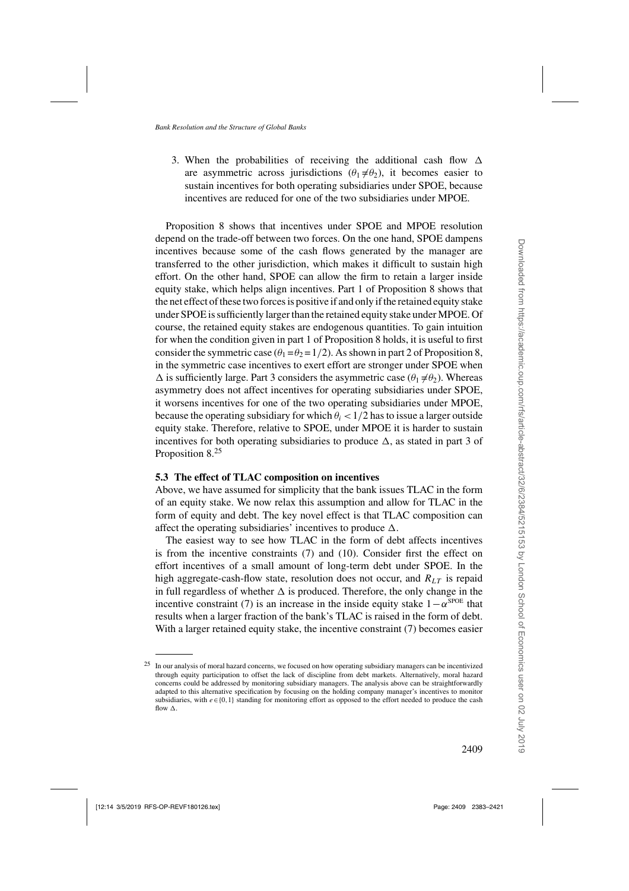3. When the probabilities of receiving the additional cash flow  $\Delta$ are asymmetric across jurisdictions ( $\theta_1 \neq \theta_2$ ), it becomes easier to sustain incentives for both operating subsidiaries under SPOE, because incentives are reduced for one of the two subsidiaries under MPOE.

Proposition [8](#page-25-0) shows that incentives under SPOE and MPOE resolution depend on the trade-off between two forces. On the one hand, SPOE dampens incentives because some of the cash flows generated by the manager are transferred to the other jurisdiction, which makes it difficult to sustain high effort. On the other hand, SPOE can allow the firm to retain a larger inside equity stake, which helps align incentives. Part 1 of Proposition [8](#page-25-0) shows that the net effect of these two forces is positive if and only if the retained equity stake under SPOE is sufficiently larger than the retained equity stake under MPOE. Of course, the retained equity stakes are endogenous quantities. To gain intuition for when the condition given in part 1 of Proposition [8](#page-25-0) holds, it is useful to first consider the symmetric case ( $\theta_1 = \theta_2 = 1/2$ ). As shown in part 2 of Proposition [8,](#page-25-0) in the symmetric case incentives to exert effort are stronger under SPOE when  $\Delta$  is sufficiently large. Part 3 considers the asymmetric case ( $\theta_1 \neq \theta_2$ ). Whereas asymmetry does not affect incentives for operating subsidiaries under SPOE, it worsens incentives for one of the two operating subsidiaries under MPOE, because the operating subsidiary for which  $\theta_i < 1/2$  has to issue a larger outside equity stake. Therefore, relative to SPOE, under MPOE it is harder to sustain incentives for both operating subsidiaries to produce  $\Delta$ , as stated in part 3 of Proposition [8.](#page-25-0)<sup>25</sup>

# **5.3 The effect of TLAC composition on incentives**

Above, we have assumed for simplicity that the bank issues TLAC in the form of an equity stake. We now relax this assumption and allow for TLAC in the form of equity and debt. The key novel effect is that TLAC composition can affect the operating subsidiaries' incentives to produce  $\Delta$ .

The easiest way to see how TLAC in the form of debt affects incentives is from the incentive constraints [\(7\)](#page-23-0) and [\(10\)](#page-25-0). Consider first the effect on effort incentives of a small amount of long-term debt under SPOE. In the high aggregate-cash-flow state, resolution does not occur, and  $R_{LT}$  is repaid in full regardless of whether  $\Delta$  is produced. Therefore, the only change in the incentive constraint [\(7\)](#page-23-0) is an increase in the inside equity stake  $1-\alpha^{\text{Spec}}$  that results when a larger fraction of the bank's TLAC is raised in the form of debt. With a larger retained equity stake, the incentive constraint [\(7\)](#page-23-0) becomes easier

<sup>&</sup>lt;sup>25</sup> In our analysis of moral hazard concerns, we focused on how operating subsidiary managers can be incentivized through equity participation to offset the lack of discipline from debt markets. Alternatively, moral hazard concerns could be addressed by monitoring subsidiary managers. The analysis above can be straightforwardly adapted to this alternative specification by focusing on the holding company manager's incentives to monitor subsidiaries, with  $e \in \{0,1\}$  standing for monitoring effort as opposed to the effort needed to produce the cash flow  $\Delta$ .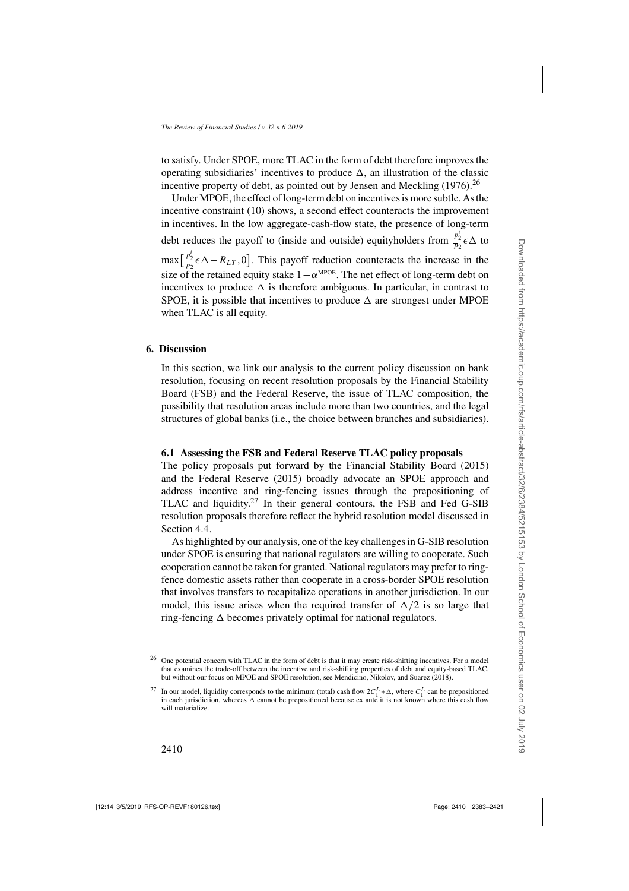<span id="page-27-0"></span>to satisfy. Under SPOE, more TLAC in the form of debt therefore improves the operating subsidiaries' incentives to produce  $\Delta$ , an illustration of the classic incentive property of debt, as pointed out by [Jensen and Meckling](#page-38-0)  $(1976)^{26}$  $(1976)^{26}$ 

UnderMPOE, the effect of long-term debt on incentives is more subtle. As the incentive constraint [\(10\)](#page-25-0) shows, a second effect counteracts the improvement in incentives. In the low aggregate-cash-flow state, the presence of long-term debt reduces the payoff to (inside and outside) equityholders from  $\frac{p_2^2}{p_2} \epsilon \Delta$  to  $\max\left[\frac{p_2^i}{\overline{p}_2}\epsilon\Delta - R_{LT}, 0\right]$ . This payoff reduction counteracts the increase in the size of the retained equity stake  $1-\alpha^{\text{MPOE}}$ . The net effect of long-term debt on incentives to produce  $\Delta$  is therefore ambiguous. In particular, in contrast to SPOE, it is possible that incentives to produce  $\Delta$  are strongest under MPOE when TLAC is all equity.

# **6. Discussion**

In this section, we link our analysis to the current policy discussion on bank resolution, focusing on recent resolution proposals by the Financial Stability Board (FSB) and the Federal Reserve, the issue of TLAC composition, the possibility that resolution areas include more than two countries, and the legal structures of global banks (i.e., the choice between branches and subsidiaries).

#### **6.1 Assessing the FSB and Federal Reserve TLAC policy proposals**

The policy proposals put forward by the [Financial Stability Board](#page-37-0) [\(2015\)](#page-37-0) and the [Federal Reserve](#page-37-0) [\(2015\)](#page-37-0) broadly advocate an SPOE approach and address incentive and ring-fencing issues through the prepositioning of TLAC and liquidity.<sup>27</sup> In their general contours, the FSB and Fed G-SIB resolution proposals therefore reflect the hybrid resolution model discussed in Section [4.4.](#page-21-0)

As highlighted by our analysis, one of the key challenges in G-SIB resolution under SPOE is ensuring that national regulators are willing to cooperate. Such cooperation cannot be taken for granted. National regulators may prefer to ringfence domestic assets rather than cooperate in a cross-border SPOE resolution that involves transfers to recapitalize operations in another jurisdiction. In our model, this issue arises when the required transfer of  $\Delta/2$  is so large that ring-fencing  $\Delta$  becomes privately optimal for national regulators.

<sup>&</sup>lt;sup>26</sup> One potential concern with TLAC in the form of debt is that it may create risk-shifting incentives. For a model that examines the trade-off between the incentive and risk-shifting properties of debt and equity-based TLAC, but without our focus on MPOE and SPOE resolution, see [Mendicino, Nikolov, and Suarez](#page-38-0) [\(2018\)](#page-38-0).

<sup>&</sup>lt;sup>27</sup> In our model, liquidity corresponds to the minimum (total) cash flow  $2C_1^L + \Delta$ , where  $C_1^L$  can be prepositioned in each jurisdiction, whereas  $\Delta$  cannot be prepositioned because ex ante it is not known where this cash flow will materialize.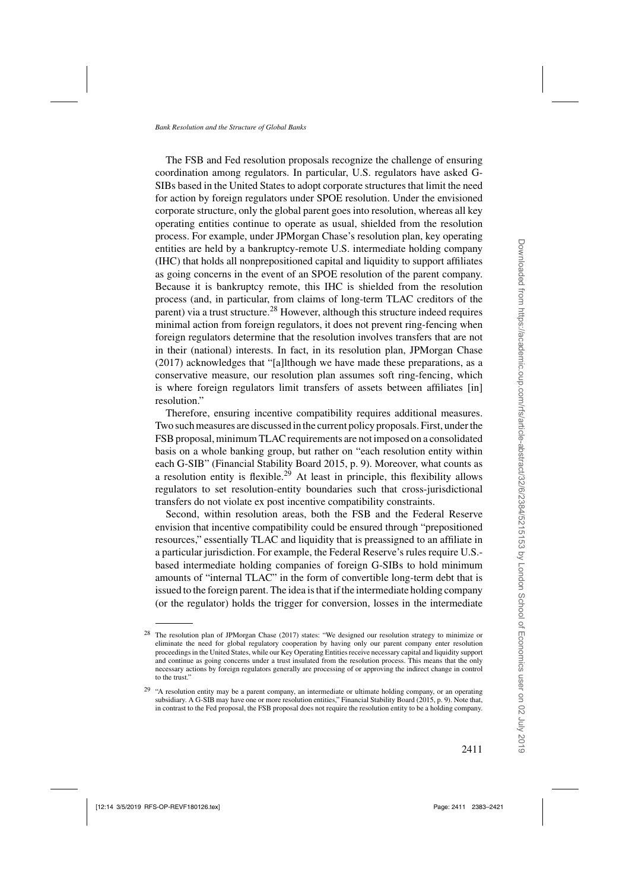The FSB and Fed resolution proposals recognize the challenge of ensuring coordination among regulators. In particular, U.S. regulators have asked G-SIBs based in the United States to adopt corporate structures that limit the need for action by foreign regulators under SPOE resolution. Under the envisioned corporate structure, only the global parent goes into resolution, whereas all key operating entities continue to operate as usual, shielded from the resolution process. For example, under JPMorgan Chase's resolution plan, key operating entities are held by a bankruptcy-remote U.S. intermediate holding company (IHC) that holds all nonprepositioned capital and liquidity to support affiliates as going concerns in the event of an SPOE resolution of the parent company. Because it is bankruptcy remote, this IHC is shielded from the resolution process (and, in particular, from claims of long-term TLAC creditors of the parent) via a trust structure.<sup>28</sup> However, although this structure indeed requires minimal action from foreign regulators, it does not prevent ring-fencing when foreign regulators determine that the resolution involves transfers that are not in their (national) interests. In fact, in its resolution plan, [JPMorgan Chase](#page-38-0) [\(2017\)](#page-38-0) acknowledges that "[a]lthough we have made these preparations, as a conservative measure, our resolution plan assumes soft ring-fencing, which is where foreign regulators limit transfers of assets between affiliates [in] resolution."

Therefore, ensuring incentive compatibility requires additional measures. Two such measures are discussed in the current policy proposals. First, under the FSB proposal, minimum TLAC requirements are not imposed on a consolidated basis on a whole banking group, but rather on "each resolution entity within each G-SIB" [\(Financial Stability Board 2015](#page-37-0), p. 9). Moreover, what counts as a resolution entity is flexible.<sup>29</sup> At least in principle, this flexibility allows regulators to set resolution-entity boundaries such that cross-jurisdictional transfers do not violate ex post incentive compatibility constraints.

Second, within resolution areas, both the FSB and the Federal Reserve envision that incentive compatibility could be ensured through "prepositioned resources," essentially TLAC and liquidity that is preassigned to an affiliate in a particular jurisdiction. For example, the Federal Reserve's rules require U.S. based intermediate holding companies of foreign G-SIBs to hold minimum amounts of "internal TLAC" in the form of convertible long-term debt that is issued to the foreign parent. The idea is that if the intermediate holding company (or the regulator) holds the trigger for conversion, losses in the intermediate

<sup>28</sup> The resolution plan of [JPMorgan Chase](#page-38-0) [\(2017](#page-38-0)) states: "We designed our resolution strategy to minimize or eliminate the need for global regulatory cooperation by having only our parent company enter resolution proceedings in the United States, while our Key Operating Entities receive necessary capital and liquidity support and continue as going concerns under a trust insulated from the resolution process. This means that the only necessary actions by foreign regulators generally are processing of or approving the indirect change in control to the trust<sup>?</sup>

<sup>&</sup>lt;sup>29</sup> "A resolution entity may be a parent company, an intermediate or ultimate holding company, or an operating subsidiary. A G-SIB may have one or more resolution entities," [Financial Stability Board](#page-37-0) [\(2015](#page-37-0), p. 9). Note that, in contrast to the Fed proposal, the FSB proposal does not require the resolution entity to be a holding company.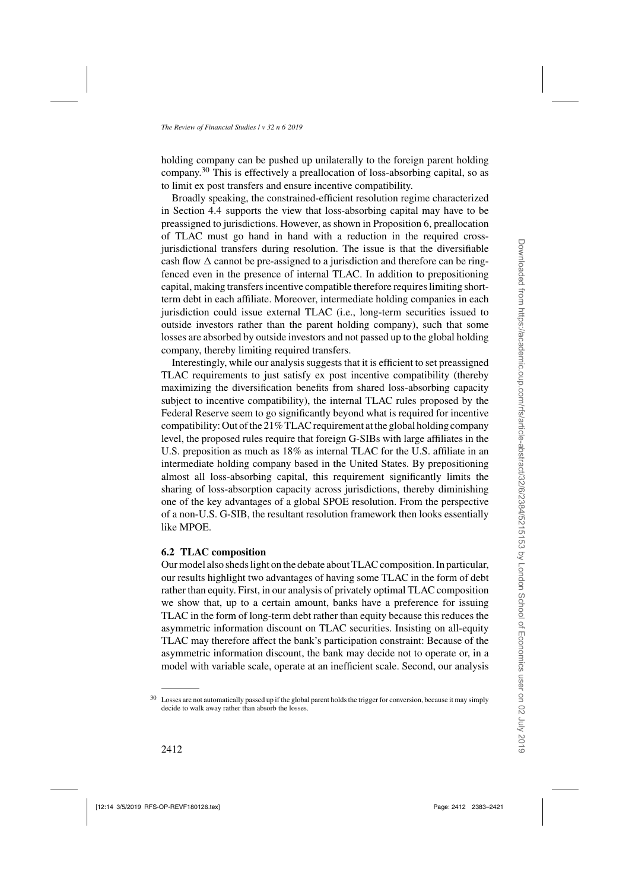<span id="page-29-0"></span>holding company can be pushed up unilaterally to the foreign parent holding company.<sup>30</sup> This is effectively a preallocation of loss-absorbing capital, so as to limit ex post transfers and ensure incentive compatibility.

Broadly speaking, the constrained-efficient resolution regime characterized in Section [4.4](#page-21-0) supports the view that loss-absorbing capital may have to be preassigned to jurisdictions. However, as shown in Proposition [6,](#page-21-0) preallocation of TLAC must go hand in hand with a reduction in the required crossjurisdictional transfers during resolution. The issue is that the diversifiable cash flow  $\Delta$  cannot be pre-assigned to a jurisdiction and therefore can be ringfenced even in the presence of internal TLAC. In addition to prepositioning capital, making transfers incentive compatible therefore requires limiting shortterm debt in each affiliate. Moreover, intermediate holding companies in each jurisdiction could issue external TLAC (i.e., long-term securities issued to outside investors rather than the parent holding company), such that some losses are absorbed by outside investors and not passed up to the global holding company, thereby limiting required transfers.

Interestingly, while our analysis suggests that it is efficient to set preassigned TLAC requirements to just satisfy ex post incentive compatibility (thereby maximizing the diversification benefits from shared loss-absorbing capacity subject to incentive compatibility), the internal TLAC rules proposed by the Federal Reserve seem to go significantly beyond what is required for incentive compatibility: Out of the 21% TLAC requirement at the global holding company level, the proposed rules require that foreign G-SIBs with large affiliates in the U.S. preposition as much as 18% as internal TLAC for the U.S. affiliate in an intermediate holding company based in the United States. By prepositioning almost all loss-absorbing capital, this requirement significantly limits the sharing of loss-absorption capacity across jurisdictions, thereby diminishing one of the key advantages of a global SPOE resolution. From the perspective of a non-U.S. G-SIB, the resultant resolution framework then looks essentially like MPOE.

### **6.2 TLAC composition**

Our model also sheds light on the debate about TLAC composition. In particular, our results highlight two advantages of having some TLAC in the form of debt rather than equity. First, in our analysis of privately optimal TLAC composition we show that, up to a certain amount, banks have a preference for issuing TLAC in the form of long-term debt rather than equity because this reduces the asymmetric information discount on TLAC securities. Insisting on all-equity TLAC may therefore affect the bank's participation constraint: Because of the asymmetric information discount, the bank may decide not to operate or, in a model with variable scale, operate at an inefficient scale. Second, our analysis

<sup>&</sup>lt;sup>30</sup> Losses are not automatically passed up if the global parent holds the trigger for conversion, because it may simply decide to walk away rather than absorb the losses.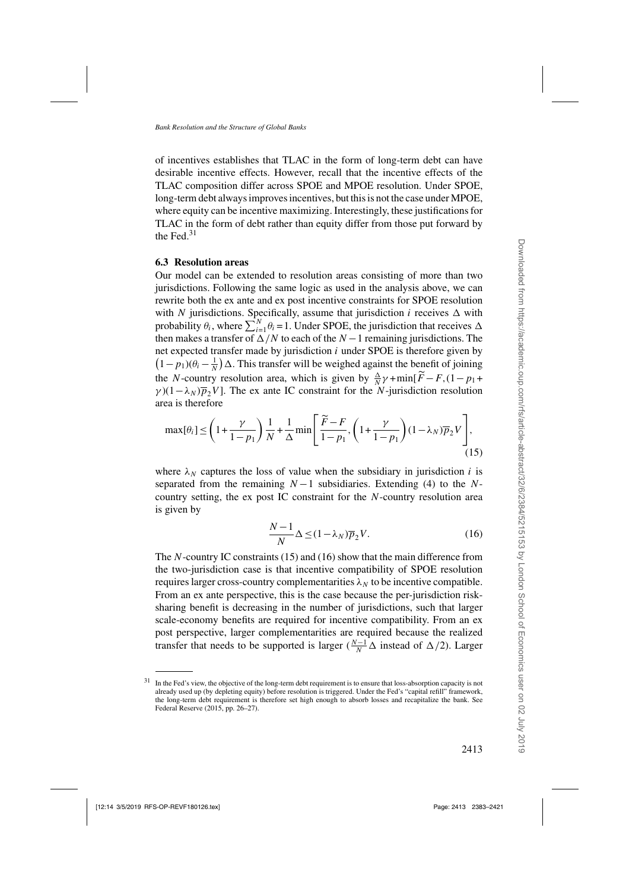of incentives establishes that TLAC in the form of long-term debt can have desirable incentive effects. However, recall that the incentive effects of the TLAC composition differ across SPOE and MPOE resolution. Under SPOE, long-term debt always improves incentives, but this is not the case under MPOE, where equity can be incentive maximizing. Interestingly, these justifications for TLAC in the form of debt rather than equity differ from those put forward by the Fed.<sup>31</sup>

# **6.3 Resolution areas**

Our model can be extended to resolution areas consisting of more than two jurisdictions. Following the same logic as used in the analysis above, we can rewrite both the ex ante and ex post incentive constraints for SPOE resolution with N jurisdictions. Specifically, assume that jurisdiction i receives  $\Delta$  with probability  $\theta_i$ , where  $\sum_{i=1}^{N} \theta_i = 1$ . Under SPOE, the jurisdiction that receives  $\Delta$ then makes a transfer of  $\Delta/N$  to each of the N −1 remaining jurisdictions. The net expected transfer made by jurisdiction  $i$  under SPOE is therefore given by  $(1-p_1)(\theta_i - \frac{1}{N})\Delta$ . This transfer will be weighed against the benefit of joining the N-country resolution area, which is given by  $\frac{\Delta}{N} \gamma + \min[\widetilde{F} - F, (1 - p_1 +$  $\gamma$ )(1− $\lambda_N$ ) $\overline{p}_2$ V]. The ex ante IC constraint for the N-jurisdiction resolution area is therefore

$$
\max[\theta_i] \le \left(1 + \frac{\gamma}{1 - p_1}\right) \frac{1}{N} + \frac{1}{\Delta} \min\left[\frac{\widetilde{F} - F}{1 - p_1}, \left(1 + \frac{\gamma}{1 - p_1}\right) (1 - \lambda_N) \overline{p}_2 V\right],\tag{15}
$$

where  $\lambda_N$  captures the loss of value when the subsidiary in jurisdiction *i* is separated from the remaining  $N-1$  subsidiaries. Extending [\(4\)](#page-18-0) to the Ncountry setting, the ex post IC constraint for the N-country resolution area is given by

$$
\frac{N-1}{N}\Delta \le (1 - \lambda_N)\overline{p}_2 V.
$$
 (16)

The N-country IC constraints (15) and (16) show that the main difference from the two-jurisdiction case is that incentive compatibility of SPOE resolution requires larger cross-country complementarities  $\lambda_N$  to be incentive compatible. From an ex ante perspective, this is the case because the per-jurisdiction risksharing benefit is decreasing in the number of jurisdictions, such that larger scale-economy benefits are required for incentive compatibility. From an ex post perspective, larger complementarities are required because the realized transfer that needs to be supported is larger  $(\frac{N-1}{N}\Delta$  instead of  $\Delta/2$ ). Larger

<sup>&</sup>lt;sup>31</sup> In the Fed's view, the objective of the long-term debt requirement is to ensure that loss-absorption capacity is not already used up (by depleting equity) before resolution is triggered. Under the Fed's "capital refill" framework, the long-term debt requirement is therefore set high enough to absorb losses and recapitalize the bank. See [Federal Reserve](#page-37-0) [\(2015,](#page-37-0) pp. 26–27).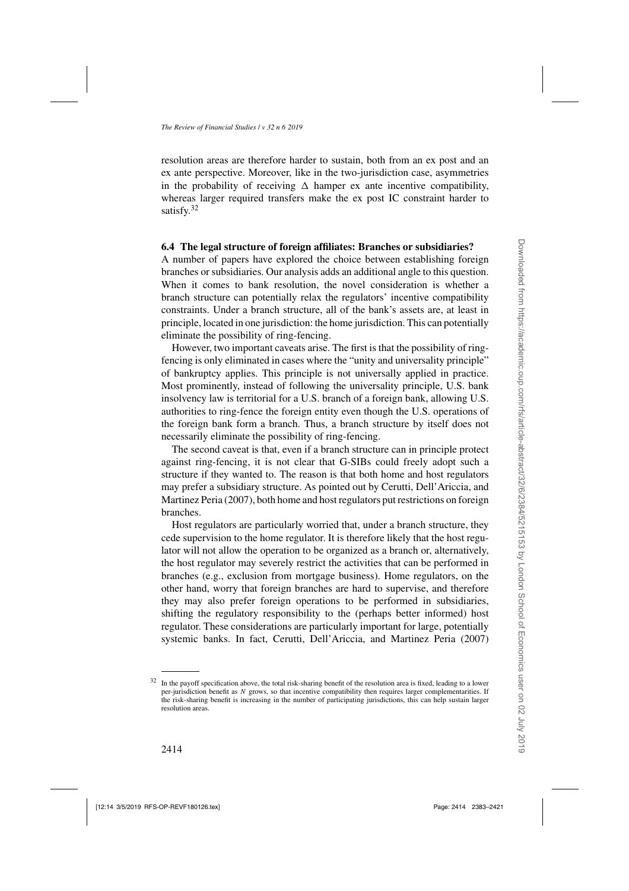<span id="page-31-0"></span>resolution areas are therefore harder to sustain, both from an ex post and an ex ante perspective. Moreover, like in the two-jurisdiction case, asymmetries in the probability of receiving  $\Delta$  hamper ex ante incentive compatibility, whereas larger required transfers make the ex post IC constraint harder to satisfy.<sup>32</sup>

# **6.4 The legal structure of foreign affiliates: Branches or subsidiaries?**

A number of papers have explored the choice between establishing foreign branches or subsidiaries. Our analysis adds an additional angle to this question. When it comes to bank resolution, the novel consideration is whether a branch structure can potentially relax the regulators' incentive compatibility constraints. Under a branch structure, all of the bank's assets are, at least in principle, located in one jurisdiction: the home jurisdiction. This can potentially eliminate the possibility of ring-fencing.

However, two important caveats arise. The first is that the possibility of ringfencing is only eliminated in cases where the "unity and universality principle" of bankruptcy applies. This principle is not universally applied in practice. Most prominently, instead of following the universality principle, U.S. bank insolvency law is territorial for a U.S. branch of a foreign bank, allowing U.S. authorities to ring-fence the foreign entity even though the U.S. operations of the foreign bank form a branch. Thus, a branch structure by itself does not necessarily eliminate the possibility of ring-fencing.

The second caveat is that, even if a branch structure can in principle protect against ring-fencing, it is not clear that G-SIBs could freely adopt such a structure if they wanted to. The reason is that both home and host regulators may prefer a s[ubsidiary](#page-37-0) [structure.](#page-37-0) [As](#page-37-0) [pointed](#page-37-0) [out](#page-37-0) [by](#page-37-0) Cerutti, Dell'Ariccia, and Martinez Peria [\(2007](#page-37-0)), both home and host regulators put restrictions on foreign branches.

Host regulators are particularly worried that, under a branch structure, they cede supervision to the home regulator. It is therefore likely that the host regulator will not allow the operation to be organized as a branch or, alternatively, the host regulator may severely restrict the activities that can be performed in branches (e.g., exclusion from mortgage business). Home regulators, on the other hand, worry that foreign branches are hard to supervise, and therefore they may also prefer foreign operations to be performed in subsidiaries, shifting the regulatory responsibility to the (perhaps better informed) host regulator. These considerations are particularly important for large, potentially systemic banks. In fact, [Cerutti, Dell'Ariccia, and Martinez Peria](#page-37-0) [\(2007\)](#page-37-0)

<sup>&</sup>lt;sup>32</sup> In the payoff specification above, the total risk-sharing benefit of the resolution area is fixed, leading to a lower per-jurisdiction benefit as N grows, so that incentive compatibility then requires larger complementarities. If the risk-sharing benefit is increasing in the number of participating jurisdictions, this can help sustain larger resolution areas.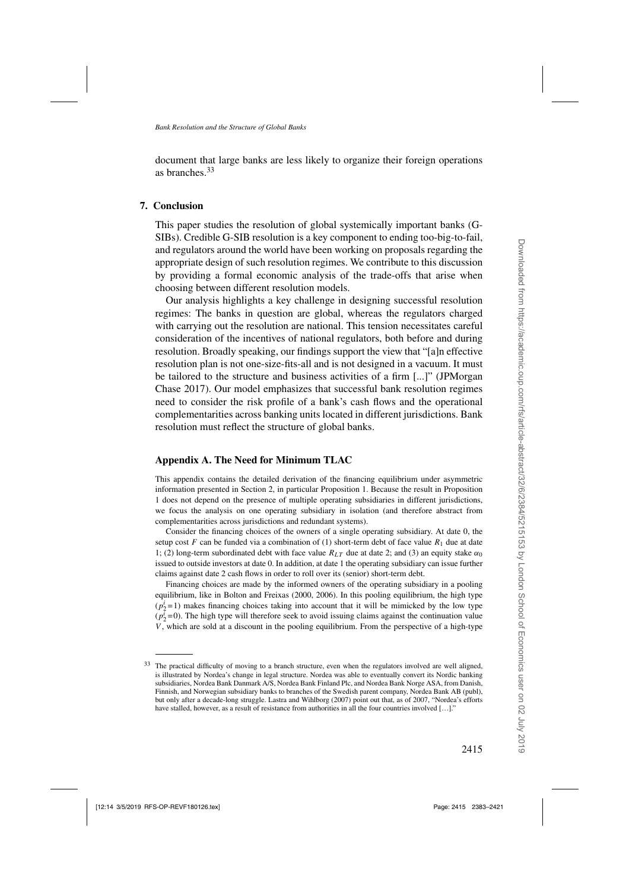document that large banks are less likely to organize their foreign operations as branches.<sup>33</sup>

### **7. Conclusion**

This paper studies the resolution of global systemically important banks (G-SIBs). Credible G-SIB resolution is a key component to ending too-big-to-fail, and regulators around the world have been working on proposals regarding the appropriate design of such resolution regimes. We contribute to this discussion by providing a formal economic analysis of the trade-offs that arise when choosing between different resolution models.

Our analysis highlights a key challenge in designing successful resolution regimes: The banks in question are global, whereas the regulators charged with carrying out the resolution are national. This tension necessitates careful consideration of the incentives of national regulators, both before and during resolution. Broadly speaking, our findings support the view that "[a]n effective resolution plan is not one-size-fits-all and is not designed in a vacuum. It must be tai[lored to the structure and business activities of a firm \[...\]" \(](#page-38-0)JPMorgan Chase [2017\)](#page-38-0). Our model emphasizes that successful bank resolution regimes need to consider the risk profile of a bank's cash flows and the operational complementarities across banking units located in different jurisdictions. Bank resolution must reflect the structure of global banks.

# **Appendix A. The Need for Minimum TLAC**

This appendix contains the detailed derivation of the financing equilibrium under asymmetric information presented in Section [2,](#page-10-0) in particular Proposition [1.](#page-11-0) Because the result in Proposition [1](#page-11-0) does not depend on the presence of multiple operating subsidiaries in different jurisdictions, we focus the analysis on one operating subsidiary in isolation (and therefore abstract from complementarities across jurisdictions and redundant systems).

Consider the financing choices of the owners of a single operating subsidiary. At date 0, the setup cost F can be funded via a combination of (1) short-term debt of face value  $R_1$  due at date 1; (2) long-term subordinated debt with face value  $R_{LT}$  due at date 2; and (3) an equity stake  $\alpha_0$ issued to outside investors at date 0. In addition, at date 1 the operating subsidiary can issue further claims against date 2 cash flows in order to roll over its (senior) short-term debt.

Financing choices are made by the informed owners of the operating subsidiary in a pooling equilibrium, like in [Bolton and Freixas](#page-36-0) [\(2000](#page-36-0), [2006\)](#page-36-0). In this pooling equilibrium, the high type  $(p_2^i=1)$  makes financing choices taking into account that it will be mimicked by the low type  $(\vec{p}_2^{\bar{i}}=0)$ . The high type will therefore seek to avoid issuing claims against the continuation value V , which are sold at a discount in the pooling equilibrium. From the perspective of a high-type

<sup>&</sup>lt;sup>33</sup> The practical difficulty of moving to a branch structure, even when the regulators involved are well aligned, is illustrated by Nordea's change in legal structure. Nordea was able to eventually convert its Nordic banking subsidiaries, Nordea Bank Danmark A/S, Nordea Bank Finland Plc, and Nordea Bank Norge ASA, from Danish, Finnish, and Norwegian subsidiary banks to branches of the Swedish parent company, Nordea Bank AB (publ), but only after a decade-long struggle. [Lastra and Wihlborg](#page-38-0) [\(2007\)](#page-38-0) point out that, as of 2007, "Nordea's efforts have stalled, however, as a result of resistance from authorities in all the four countries involved [...]."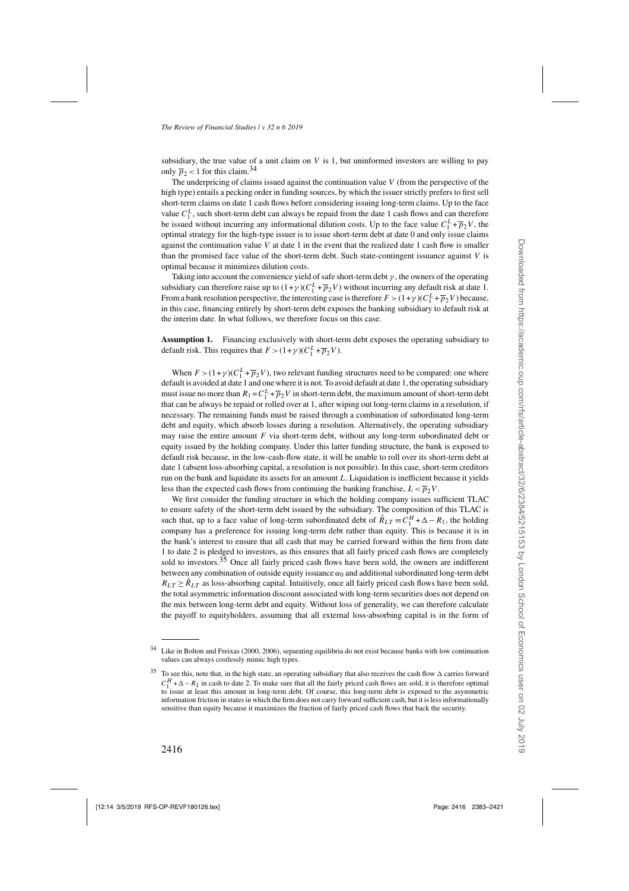subsidiary, the true value of a unit claim on  $V$  is 1, but uninformed investors are willing to pay only  $\bar{p}_2$  < 1 for this claim.<sup>34</sup>

The underpricing of claims issued against the continuation value  $V$  (from the perspective of the high type) entails a pecking order in funding sources, by which the issuer strictly prefers to first sell short-term claims on date 1 cash flows before considering issuing long-term claims. Up to the face value  $C_1^L$ , such short-term debt can always be repaid from the date 1 cash flows and can therefore be issued without incurring any informational dilution costs. Up to the face value  $C_1^L + \overline{p}_2 V$ , the optimal strategy for the high-type issuer is to issue short-term debt at date 0 and only issue claims against the continuation value  $V$  at date 1 in the event that the realized date 1 cash flow is smaller than the promised face value of the short-term debt. Such state-contingent issuance against  $V$  is optimal because it minimizes dilution costs.

Taking into account the convenience yield of safe short-term debt  $\gamma$ , the owners of the operating subsidiary can therefore raise up to  $(1+\gamma)(C_1^L + \overline{p}_2 V)$  without incurring any default risk at date 1. From a bank resolution perspective, the interesting case is therefore  $F > (1 + \gamma)(C_1^L + \overline{p}_2 V)$  because, in this case, financing entirely by short-term debt exposes the banking subsidiary to default risk at the interim date. In what follows, we therefore focus on this case.

**Assumption 1.** Financing exclusively with short-term debt exposes the operating subsidiary to default risk. This requires that  $F > (1 + \gamma)(C_1^L + \overline{p}_2 V)$ .

When  $F > (1 + \gamma)(C_1^L + \overline{\rho}_2 V)$ , two relevant funding structures need to be compared: one where default is avoided at date 1 and one where it is not. To avoid default at date 1, the operating subsidiary must issue no more than  $R_1 = C_1^L + \overline{p}_2 V$  in short-term debt, the maximum amount of short-term debt that can be always be repaid or rolled over at 1, after wiping out long-term claims in a resolution, if necessary. The remaining funds must be raised through a combination of subordinated long-term debt and equity, which absorb losses during a resolution. Alternatively, the operating subsidiary may raise the entire amount  $F$  via short-term debt, without any long-term subordinated debt or equity issued by the holding company. Under this latter funding structure, the bank is exposed to default risk because, in the low-cash-flow state, it will be unable to roll over its short-term debt at date 1 (absent loss-absorbing capital, a resolution is not possible). In this case, short-term creditors run on the bank and liquidate its assets for an amount  $L$ . Liquidation is inefficient because it yields less than the expected cash flows from continuing the banking franchise,  $L < \overline{p}_2 V$ .

We first consider the funding structure in which the holding company issues sufficient TLAC to ensure safety of the short-term debt issued by the subsidiary. The composition of this TLAC is such that, up to a face value of long-term subordinated debt of  $\hat{R}_{LT} \equiv \hat{C}_1^H + \Delta - R_1$ , the holding company has a preference for issuing long-term debt rather than equity. This is because it is in the bank's interest to ensure that all cash that may be carried forward within the firm from date 1 to date 2 is pledged to investors, as this ensures that all fairly priced cash flows are completely sold to investors.<sup>35</sup> Once all fairly priced cash flows have been sold, the owners are indifferent between any combination of outside equity issuance  $\alpha_0$  and additional subordinated long-term debt  $R_{LT} \geq R_{LT}$  as loss-absorbing capital. Intuitively, once all fairly priced cash flows have been sold, the total asymmetric information discount associated with long-term securities does not depend on the mix between long-term debt and equity. Without loss of generality, we can therefore calculate the payoff to equityholders, assuming that all external loss-absorbing capital is in the form of

<sup>&</sup>lt;sup>34</sup> Like in [Bolton and Freixas \(2000](#page-36-0), [2006\)](#page-36-0), separating equilibria do not exist because banks with low continuation values can always costlessly mimic high types.

 $35$  To see this, note that, in the high state, an operating subsidiary that also receives the cash flow  $\Delta$  carries forward  $C_1^H$  +  $\Delta$  –  $R_1$  in cash to date 2. To make sure that all the fairly priced cash flows are sold, it is therefore optimal to issue at least this amount in long-term debt. Of course, this long-term debt is exposed to the asymmetric information friction in states in which the firm does not carry forward sufficient cash, but it is less informationally sensitive than equity because it maximizes the fraction of fairly priced cash flows that back the security.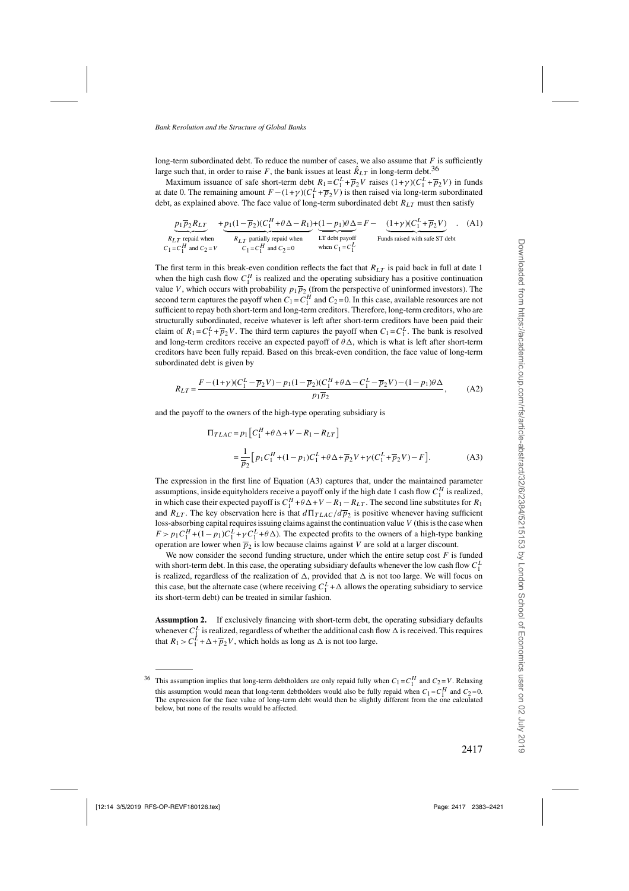<span id="page-34-0"></span>long-term subordinated debt. To reduce the number of cases, we also assume that  $F$  is sufficiently large such that, in order to raise F, the bank issues at least  $\hat{R}_{LT}$  in long-term debt.<sup>36</sup>

Maximum issuance of safe short-term debt  $R_1 = C_1^L + \overline{p}_2 V$  raises  $(1 + \gamma)(C_1^L + \overline{p}_2 V)$  in funds at date 0. The remaining amount  $F - (1 + \gamma)(C_1^L + \overline{p}_2 V)$  is then raised via long-term subordinated debt, as explained above. The face value of long-term subordinated debt  $R_{LT}$  must then satisfy

$$
\underbrace{p_1 \overline{p}_2 R_{LT}}_{R_{LT} \text{ repaid when}} + \underbrace{p_1 (1 - \overline{p}_2) (C_1^H + \theta \Delta - R_1)}_{R_{LT} \text{ partially repaid when}} + \underbrace{(1 - p_1) \theta \Delta}_{LT \text{ debt payoff}} = F - \underbrace{(1 + \gamma) (C_1^L + \overline{p}_2 V)}_{\text{Funds raised with safe ST debt}}
$$
 (A1)

The first term in this break-even condition reflects the fact that  $R_{LT}$  is paid back in full at date 1 when the high cash flow  $C_1^H$  is realized and the operating subsidiary has a positive continuation value V, which occurs with probability  $p_1\overline{p}_2$  (from the perspective of uninformed investors). The second term captures the payoff when  $C_1 = C_1^H$  and  $C_2 = 0$ . In this case, available resources are not sufficient to repay both short-term and long-term creditors. Therefore, long-term creditors, who are structurally subordinated, receive whatever is left after short-term creditors have been paid their claim of  $R_1 = C_1^L + \overline{p}_2 V$ . The third term captures the payoff when  $C_1 = C_1^L$ . The bank is resolved and long-term creditors receive an expected payoff of  $\theta \Delta$ , which is what is left after short-term creditors have been fully repaid. Based on this break-even condition, the face value of long-term subordinated debt is given by

$$
R_{LT} = \frac{F - (1+\gamma)(C_1^L - \overline{p}_2 V) - p_1(1-\overline{p}_2)(C_1^H + \theta \Delta - C_1^L - \overline{p}_2 V) - (1-p_1)\theta \Delta}{p_1 \overline{p}_2},\tag{A2}
$$

and the payoff to the owners of the high-type operating subsidiary is

$$
\Pi_{TLAC} = p_1 \left[ C_1^H + \theta \Delta + V - R_1 - R_{LT} \right]
$$
  
= 
$$
\frac{1}{\overline{p}_2} \left[ p_1 C_1^H + (1 - p_1) C_1^L + \theta \Delta + \overline{p}_2 V + \gamma (C_1^L + \overline{p}_2 V) - F \right].
$$
 (A3)

The expression in the first line of Equation (A3) captures that, under the maintained parameter assumptions, inside equityholders receive a payoff only if the high date 1 cash flow  $C_1^H$  is realized, in which case their expected payoff is  $C_1^H + \theta \Delta + V - R_1 - R_{LT}$ . The second line substitutes for  $R_1$ and  $R_{LT}$ . The key observation here is that  $d\Pi_{TLAC}/d\overline{p}_2$  is positive whenever having sufficient loss-absorbing capital requires issuing claims against the continuation value V (this is the case when  $F > p_1 C_1^H + (1 - p_1)C_1^L + \gamma C_1^L + \theta \Delta$ ). The expected profits to the owners of a high-type banking operation are lower when  $\overline{p}_2$  is low because claims against V are sold at a larger discount.

We now consider the second funding structure, under which the entire setup cost  $F$  is funded with short-term debt. In this case, the operating subsidiary defaults whenever the low cash flow  $C_1^L$ is realized, regardless of the realization of  $\Delta$ , provided that  $\Delta$  is not too large. We will focus on this case, but the alternate case (where receiving  $C_1^L + \Delta$  allows the operating subsidiary to service its short-term debt) can be treated in similar fashion.

**Assumption 2.** If exclusively financing with short-term debt, the operating subsidiary defaults whenever  $C_1^L$  is realized, regardless of whether the additional cash flow  $\Delta$  is received. This requires that  $R_1 > C_1^{\mathring{L}} + \Delta + \overline{p}_2 V$ , which holds as long as  $\Delta$  is not too large.

<sup>&</sup>lt;sup>36</sup> This assumption implies that long-term debtholders are only repaid fully when  $C_1 = C_1^H$  and  $C_2 = V$ . Relaxing this assumption would mean that long-term debtholders would also be fully repaid when  $C_1 = C_1^H$  and  $C_2 = 0$ . The expression for the face value of long-term debt would then be slightly different from the one calculated below, but none of the results would be affected.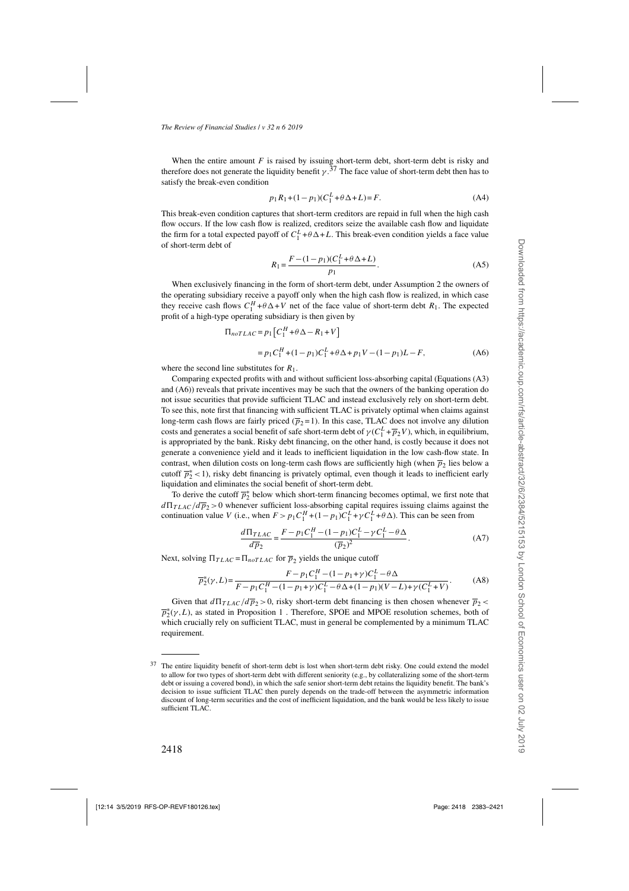When the entire amount  $F$  is raised by issuing short-term debt, short-term debt is risky and therefore does not generate the liquidity benefit  $\gamma$ .<sup>37</sup> The face value of short-term debt then has to satisfy the break-even condition

$$
p_1 R_1 + (1 - p_1)(C_1^L + \theta \Delta + L) = F.
$$
 (A4)

This break-even condition captures that short-term creditors are repaid in full when the high cash flow occurs. If the low cash flow is realized, creditors seize the available cash flow and liquidate the firm for a total expected payoff of  $C_1^L + \theta \Delta + L$ . This break-even condition yields a face value of short-term debt of

$$
R_1 = \frac{F - (1 - p_1)(C_1^L + \theta \Delta + L)}{p_1}.
$$
 (A5)

When exclusively financing in the form of short-term debt, under Assumption [2](#page-34-0) the owners of the operating subsidiary receive a payoff only when the high cash flow is realized, in which case they receive cash flows  $C_1^H + \theta \Delta + V$  net of the face value of short-term debt  $R_1$ . The expected profit of a high-type operating subsidiary is then given by

$$
\Pi_{noTLAC} = p_1 \left[ C_1^H + \theta \Delta - R_1 + V \right]
$$
  
=  $p_1 C_1^H + (1 - p_1) C_1^L + \theta \Delta + p_1 V - (1 - p_1) L - F,$  (A6)

where the second line substitutes for  $R_1$ .

Comparing expected profits with and without sufficient loss-absorbing capital (Equations [\(A3\)](#page-34-0) and (A6)) reveals that private incentives may be such that the owners of the banking operation do not issue securities that provide sufficient TLAC and instead exclusively rely on short-term debt. To see this, note first that financing with sufficient TLAC is privately optimal when claims against long-term cash flows are fairly priced  $(\overline{p}_2 = 1)$ . In this case, TLAC does not involve any dilution costs and generates a social benefit of safe short-term debt of  $\gamma(C_1^L + \overline{p}_2 V)$ , which, in equilibrium, is appropriated by the bank. Risky debt financing, on the other hand, is costly because it does not generate a convenience yield and it leads to inefficient liquidation in the low cash-flow state. In contrast, when dilution costs on long-term cash flows are sufficiently high (when  $\bar{p}_2$  lies below a cutoff  $\overline{p}_2^*$  < 1), risky debt financing is privately optimal, even though it leads to inefficient early liquidation and eliminates the social benefit of short-term debt.

To derive the cutoff  $\overline{p}_2^*$  below which short-term financing becomes optimal, we first note that  $d\Pi_{TLAC}/d\overline{p}_2 > 0$  whenever sufficient loss-absorbing capital requires issuing claims against the continuation value V (i.e., when  $F > p_1 C_1^H + (1 - p_1)C_1^L + \gamma C_1^L + \theta \Delta$ ). This can be seen from

$$
\frac{d\Pi_{TLAC}}{d\overline{p}_2} = \frac{F - p_1 C_1^H - (1 - p_1)C_1^L - \gamma C_1^L - \theta \Delta}{(\overline{p}_2)^2}.
$$
 (A7)

Next, solving  $\Pi_{TLAC} = \Pi_{noTLAC}$  for  $\overline{p}_2$  yields the unique cutoff

$$
\overline{p}_2^*(\gamma, L) = \frac{F - p_1 C_1^H - (1 - p_1 + \gamma)C_1^L - \theta \Delta}{F - p_1 C_1^H - (1 - p_1 + \gamma)C_1^L - \theta \Delta + (1 - p_1)(V - L) + \gamma (C_1^L + V)}.
$$
(A8)

Given that  $d\Pi_{TLAC}/d\overline{p}_2 > 0$ , risky short-term debt financing is then chosen whenever  $\overline{p}_2$  <  $\overline{p}_2^*(\gamma, L)$ , as stated in Proposition [1](#page-11-0). Therefore, SPOE and MPOE resolution schemes, both of which crucially rely on sufficient TLAC, must in general be complemented by a minimum TLAC requirement.

<sup>&</sup>lt;sup>37</sup> The entire liquidity benefit of short-term debt is lost when short-term debt risky. One could extend the model to allow for two types of short-term debt with different seniority (e.g., by collateralizing some of the short-term debt or issuing a covered bond), in which the safe senior short-term debt retains the liquidity benefit. The bank's decision to issue sufficient TLAC then purely depends on the trade-off between the asymmetric information discount of long-term securities and the cost of inefficient liquidation, and the bank would be less likely to issue sufficient TLAC.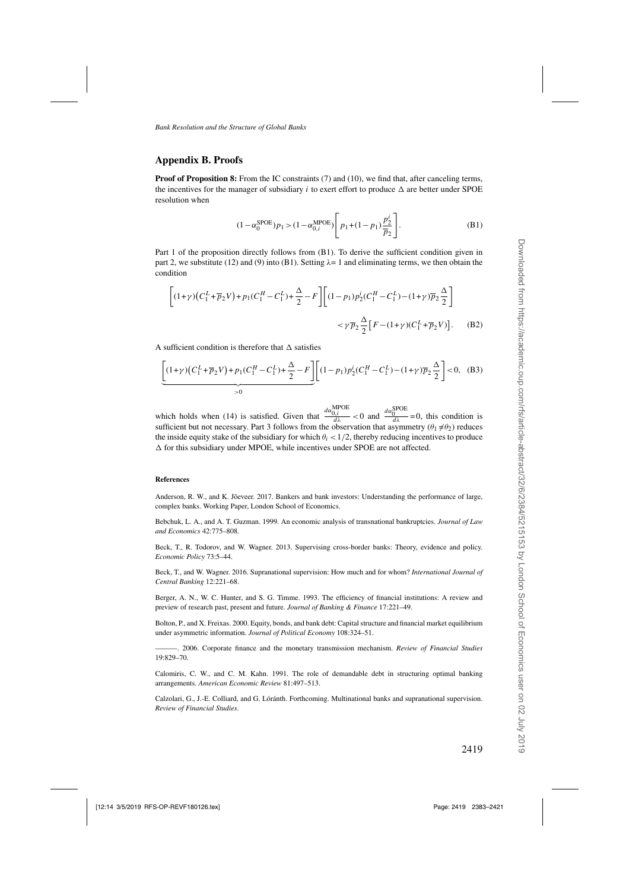### <span id="page-36-0"></span>**Appendix B. Proofs**

**Proof of Proposition [8:](#page-25-0)** From the IC constraints [\(7\)](#page-23-0) and [\(10\)](#page-25-0), we find that, after canceling terms, the incentives for the manager of subsidiary i to exert effort to produce  $\Delta$  are better under SPOE resolution when

$$
(1 - \alpha_0^{\text{SPOE}}) p_1 > (1 - \alpha_{0,i}^{\text{MPOE}}) \left[ p_1 + (1 - p_1) \frac{p_2^i}{\overline{p}_2} \right].
$$
 (B1)

Part 1 of the proposition directly follows from (B1). To derive the sufficient condition given in part 2, we substitute [\(12\)](#page-25-0) and [\(9\)](#page-23-0) into (B1). Setting  $\lambda = 1$  and eliminating terms, we then obtain the condition

$$
\left[ (1+\gamma)(C_1^L + \overline{p}_2 V) + p_1(C_1^H - C_1^L) + \frac{\Delta}{2} - F \right] \left[ (1-p_1)p_2^i(C_1^H - C_1^L) - (1+\gamma)\overline{p}_2 \frac{\Delta}{2} \right]
$$
  

$$
< \gamma \overline{p}_2 \frac{\Delta}{2} \left[ F - (1+\gamma)(C_1^L + \overline{p}_2 V) \right].
$$
 (B2)

A sufficient condition is therefore that  $\Delta$  satisfies

$$
\underbrace{\left[ (1+\gamma)\left( C_1^L + \overline{p}_2 V \right) + p_1 (C_1^H - C_1^L) + \frac{\Delta}{2} - F \right]}_{>0} \left[ (1-p_1) p_2^i (C_1^H - C_1^L) - (1+\gamma) \overline{p}_2 \frac{\Delta}{2} \right] < 0, \quad \text{(B3)}
$$

which holds when [\(14\)](#page-25-0) is satisfied. Given that  $\frac{d\alpha_{0,i}^{\text{MPOE}}}{d\lambda} < 0$  and  $\frac{d\alpha_{0}^{\text{SPOE}}}{d\lambda} = 0$ , this condition is sufficient but not necessary. Part 3 follows from the observation that asymmetry  $(\theta_1 \neq \theta_2)$  reduces the inside equity stake of the subsidiary for which  $\theta_i < 1/2$ , thereby reducing incentives to produce  $\Delta$  for this subsidiary under MPOE, while incentives under SPOE are not affected.

#### **References**

Anderson, R. W., and K. Jõeveer. 2017. Bankers and bank investors: Understanding the performance of large, complex banks. Working Paper, London School of Economics.

Bebchuk, L. A., and A. T. Guzman. 1999. An economic analysis of transnational bankruptcies. *Journal of Law and Economics* 42:775–808.

Beck, T., R. Todorov, and W. Wagner. 2013. Supervising cross-border banks: Theory, evidence and policy. *Economic Policy* 73:5–44.

Beck, T., and W. Wagner. 2016. Supranational supervision: How much and for whom? *International Journal of Central Banking* 12:221–68.

Berger, A. N., W. C. Hunter, and S. G. Timme. 1993. The efficiency of financial institutions: A review and preview of research past, present and future. *Journal of Banking & Finance* 17:221–49.

Bolton, P., and X. Freixas. 2000. Equity, bonds, and bank debt: Capital structure and financial market equilibrium under asymmetric information. *Journal of Political Economy* 108:324–51.

———. 2006. Corporate finance and the monetary transmission mechanism. *Review of Financial Studies* 19:829–70.

Calomiris, C. W., and C. M. Kahn. 1991. The role of demandable debt in structuring optimal banking arrangements. *American Economic Review* 81:497–513.

Calzolari, G., J.-E. Colliard, and G. Lóránth. Forthcoming. Multinational banks and supranational supervision. *Review of Financial Studies*.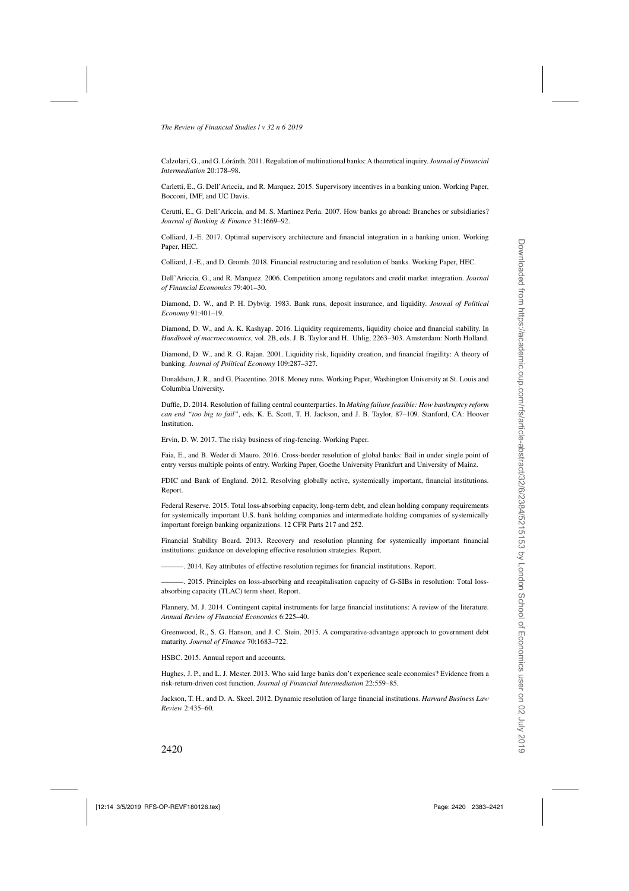<span id="page-37-0"></span>Calzolari, G., and G. Lóránth. 2011. Regulation of multinational banks: A theoretical inquiry. *Journal of Financial Intermediation* 20:178–98.

Carletti, E., G. Dell'Ariccia, and R. Marquez. 2015. Supervisory incentives in a banking union. Working Paper, Bocconi, IMF, and UC Davis.

Cerutti, E., G. Dell'Ariccia, and M. S. Martinez Peria. 2007. How banks go abroad: Branches or subsidiaries? *Journal of Banking & Finance* 31:1669–92.

Colliard, J.-E. 2017. Optimal supervisory architecture and financial integration in a banking union. Working Paper, HEC.

Colliard, J.-E., and D. Gromb. 2018. Financial restructuring and resolution of banks. Working Paper, HEC.

Dell'Ariccia, G., and R. Marquez. 2006. Competition among regulators and credit market integration. *Journal of Financial Economics* 79:401–30.

Diamond, D. W., and P. H. Dybvig. 1983. Bank runs, deposit insurance, and liquidity. *Journal of Political Economy* 91:401–19.

Diamond, D. W., and A. K. Kashyap. 2016. Liquidity requirements, liquidity choice and financial stability. In *Handbook of macroeconomics*, vol. 2B, eds. J. B. Taylor and H. Uhlig, 2263–303. Amsterdam: North Holland.

Diamond, D. W., and R. G. Rajan. 2001. Liquidity risk, liquidity creation, and financial fragility: A theory of banking. *Journal of Political Economy* 109:287–327.

Donaldson, J. R., and G. Piacentino. 2018. Money runs. Working Paper, Washington University at St. Louis and Columbia University.

Duffie, D. 2014. Resolution of failing central counterparties. In *Making failure feasible: How bankruptcy reform can end "too big to fail"*, eds. K. E. Scott, T. H. Jackson, and J. B. Taylor, 87–109. Stanford, CA: Hoover Institution.

Ervin, D. W. 2017. The risky business of ring-fencing. Working Paper.

Faia, E., and B. Weder di Mauro. 2016. Cross-border resolution of global banks: Bail in under single point of entry versus multiple points of entry. Working Paper, Goethe University Frankfurt and University of Mainz.

FDIC and Bank of England. 2012. Resolving globally active, systemically important, financial institutions. Report.

Federal Reserve. 2015. Total loss-absorbing capacity, long-term debt, and clean holding company requirements for systemically important U.S. bank holding companies and intermediate holding companies of systemically important foreign banking organizations. 12 CFR Parts 217 and 252.

Financial Stability Board. 2013. Recovery and resolution planning for systemically important financial institutions: guidance on developing effective resolution strategies. Report.

———. 2014. Key attributes of effective resolution regimes for financial institutions. Report.

———. 2015. Principles on loss-absorbing and recapitalisation capacity of G-SIBs in resolution: Total lossabsorbing capacity (TLAC) term sheet. Report.

Flannery, M. J. 2014. Contingent capital instruments for large financial institutions: A review of the literature. *Annual Review of Financial Economics* 6:225–40.

Greenwood, R., S. G. Hanson, and J. C. Stein. 2015. A comparative-advantage approach to government debt maturity. *Journal of Finance* 70:1683–722.

HSBC. 2015. Annual report and accounts.

Hughes, J. P., and L. J. Mester. 2013. Who said large banks don't experience scale economies? Evidence from a risk-return-driven cost function. *Journal of Financial Intermediation* 22:559–85.

Jackson, T. H., and D. A. Skeel. 2012. Dynamic resolution of large financial institutions. *Harvard Business Law Review* 2:435–60.